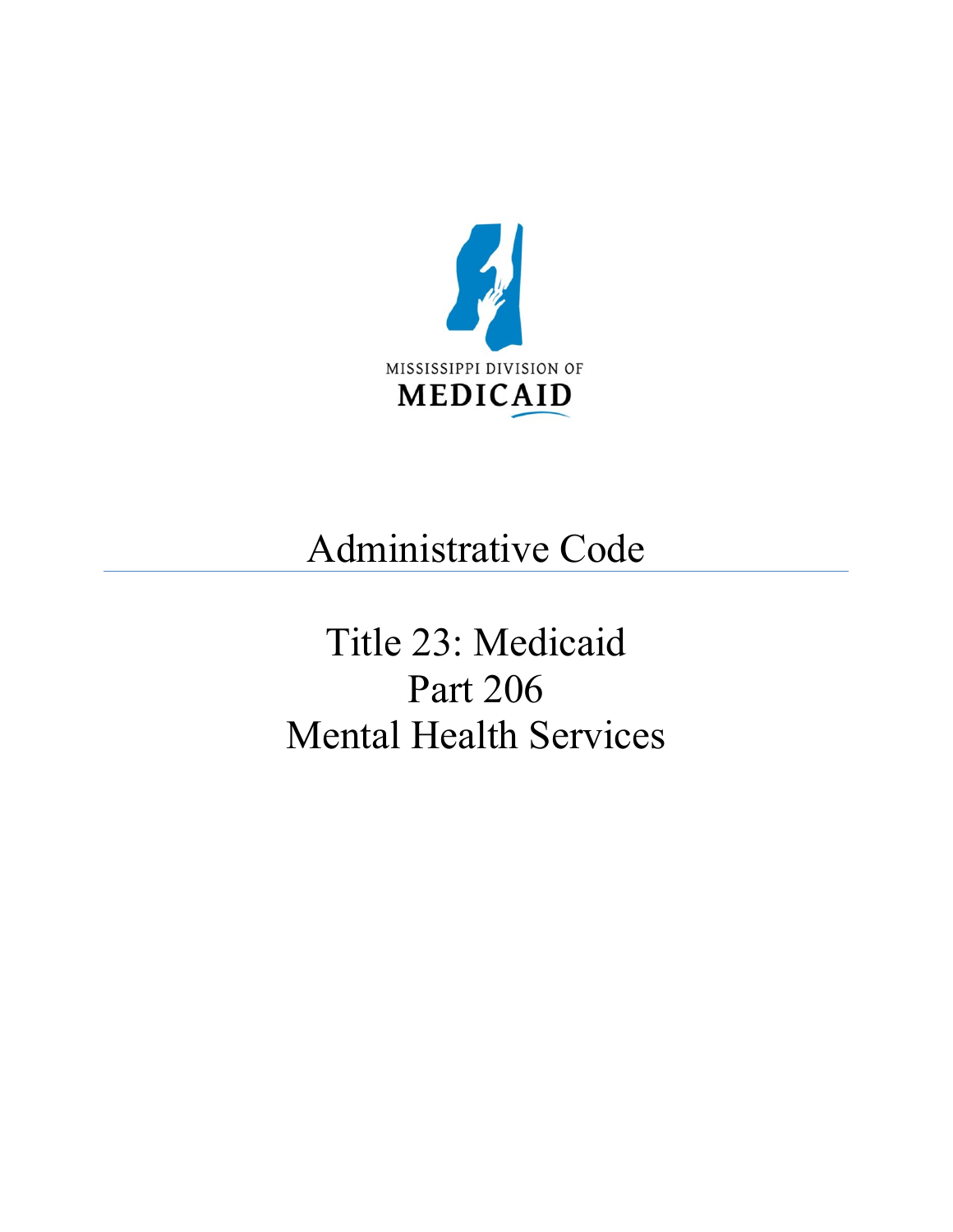<span id="page-0-0"></span>

## Administrative Code

# <span id="page-0-1"></span>Title 23: Medicaid Part 206 Mental Health Services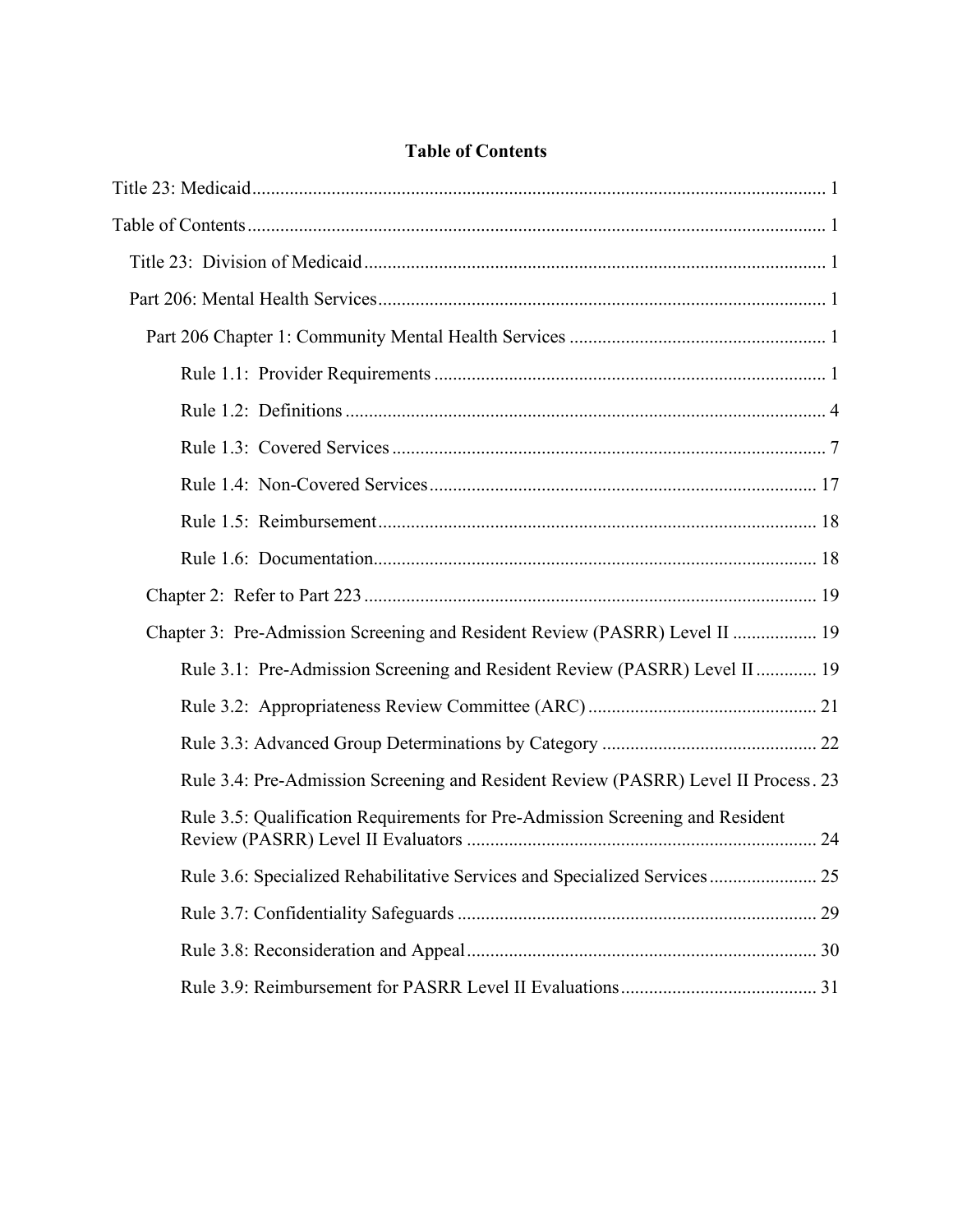| <b>Table of Contents</b> |  |
|--------------------------|--|
|--------------------------|--|

| Chapter 3: Pre-Admission Screening and Resident Review (PASRR) Level II  19        |
|------------------------------------------------------------------------------------|
| Rule 3.1: Pre-Admission Screening and Resident Review (PASRR) Level II  19         |
|                                                                                    |
|                                                                                    |
| Rule 3.4: Pre-Admission Screening and Resident Review (PASRR) Level II Process. 23 |
| Rule 3.5: Qualification Requirements for Pre-Admission Screening and Resident      |
| Rule 3.6: Specialized Rehabilitative Services and Specialized Services 25          |
|                                                                                    |
|                                                                                    |
|                                                                                    |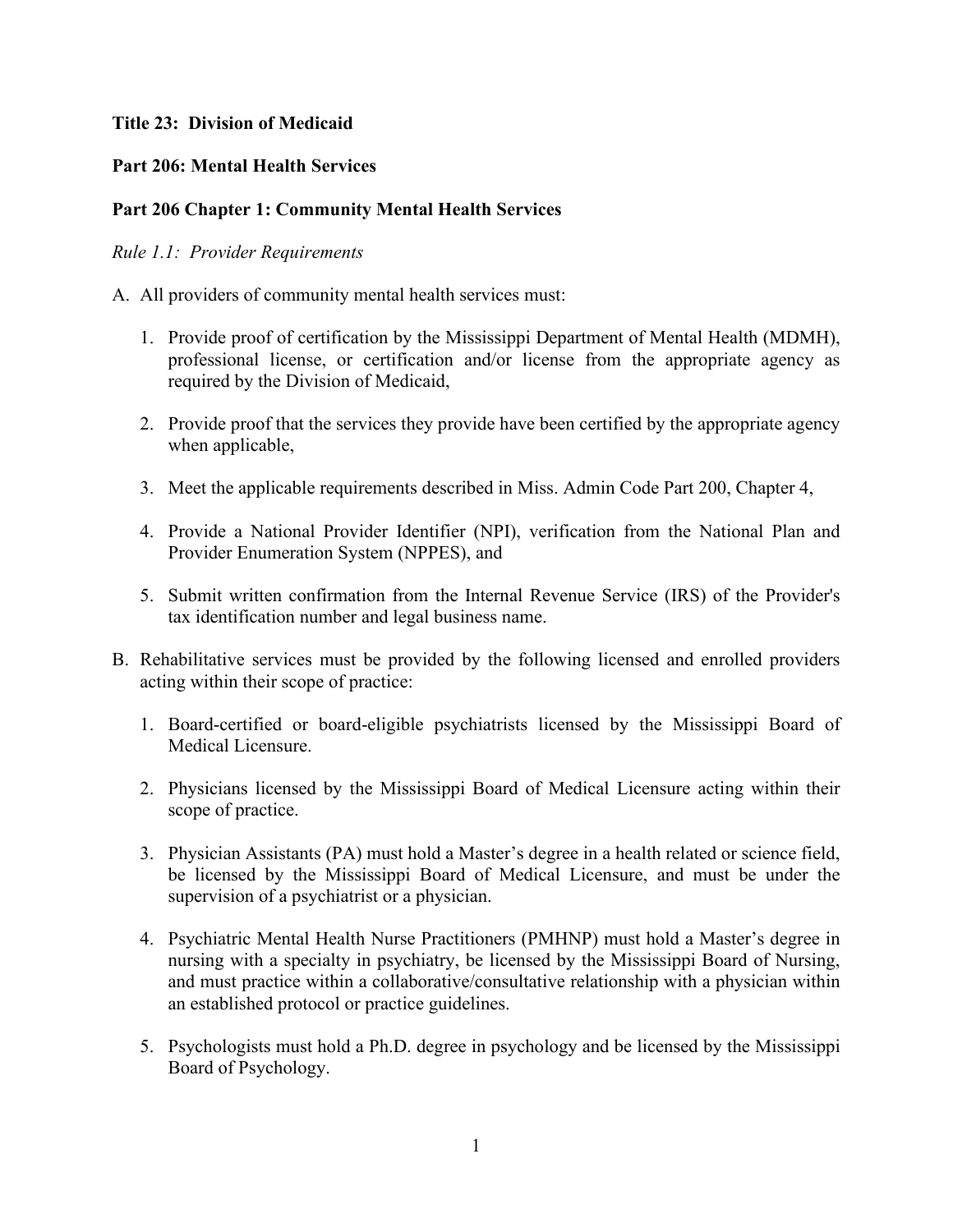## <span id="page-2-0"></span>**Title 23: Division of Medicaid**

## <span id="page-2-1"></span>**Part 206: Mental Health Services**

## <span id="page-2-2"></span>**Part 206 Chapter 1: Community Mental Health Services**

#### <span id="page-2-3"></span>*Rule 1.1: Provider Requirements*

A. All providers of community mental health services must:

- 1. Provide proof of certification by the Mississippi Department of Mental Health (MDMH), professional license, or certification and/or license from the appropriate agency as required by the Division of Medicaid,
- 2. Provide proof that the services they provide have been certified by the appropriate agency when applicable,
- 3. Meet the applicable requirements described in Miss. Admin Code Part 200, Chapter 4,
- 4. Provide a National Provider Identifier (NPI), verification from the National Plan and Provider Enumeration System (NPPES), and
- 5. Submit written confirmation from the Internal Revenue Service (IRS) of the Provider's tax identification number and legal business name.
- B. Rehabilitative services must be provided by the following licensed and enrolled providers acting within their scope of practice:
	- 1. Board-certified or board-eligible psychiatrists licensed by the Mississippi Board of Medical Licensure.
	- 2. Physicians licensed by the Mississippi Board of Medical Licensure acting within their scope of practice.
	- 3. Physician Assistants (PA) must hold a Master's degree in a health related or science field, be licensed by the Mississippi Board of Medical Licensure, and must be under the supervision of a psychiatrist or a physician.
	- 4. Psychiatric Mental Health Nurse Practitioners (PMHNP) must hold a Master's degree in nursing with a specialty in psychiatry, be licensed by the Mississippi Board of Nursing, and must practice within a collaborative/consultative relationship with a physician within an established protocol or practice guidelines.
	- 5. Psychologists must hold a Ph.D. degree in psychology and be licensed by the Mississippi Board of Psychology.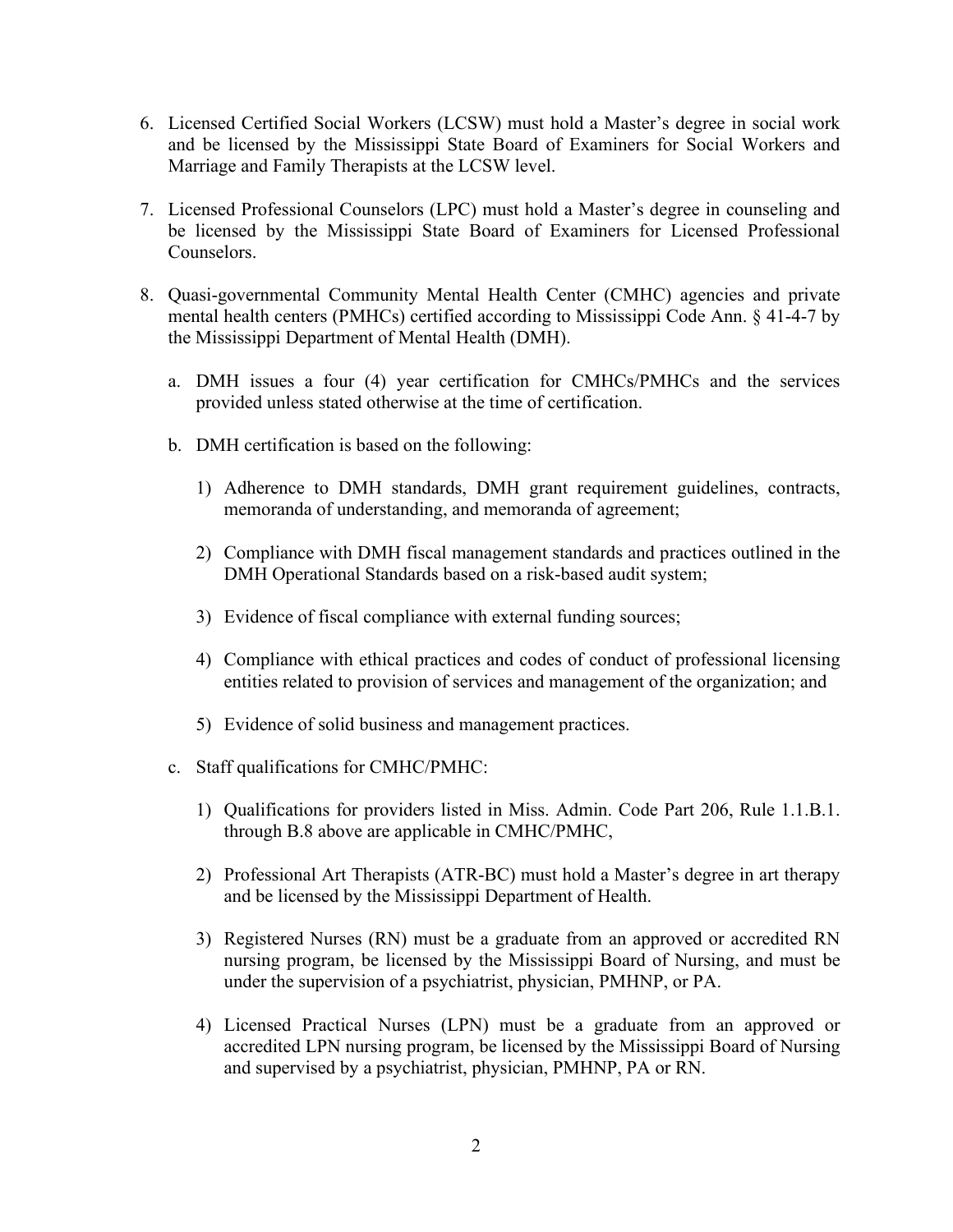- 6. Licensed Certified Social Workers (LCSW) must hold a Master's degree in social work and be licensed by the Mississippi State Board of Examiners for Social Workers and Marriage and Family Therapists at the LCSW level.
- 7. Licensed Professional Counselors (LPC) must hold a Master's degree in counseling and be licensed by the Mississippi State Board of Examiners for Licensed Professional Counselors.
- 8. Quasi-governmental Community Mental Health Center (CMHC) agencies and private mental health centers (PMHCs) certified according to Mississippi Code Ann. § 41-4-7 by the Mississippi Department of Mental Health (DMH).
	- a. DMH issues a four (4) year certification for CMHCs/PMHCs and the services provided unless stated otherwise at the time of certification.
	- b. DMH certification is based on the following:
		- 1) Adherence to DMH standards, DMH grant requirement guidelines, contracts, memoranda of understanding, and memoranda of agreement;
		- 2) Compliance with DMH fiscal management standards and practices outlined in the DMH Operational Standards based on a risk-based audit system;
		- 3) Evidence of fiscal compliance with external funding sources;
		- 4) Compliance with ethical practices and codes of conduct of professional licensing entities related to provision of services and management of the organization; and
		- 5) Evidence of solid business and management practices.
	- c. Staff qualifications for CMHC/PMHC:
		- 1) Qualifications for providers listed in Miss. Admin. Code Part 206, Rule 1.1.B.1. through B.8 above are applicable in CMHC/PMHC,
		- 2) Professional Art Therapists (ATR-BC) must hold a Master's degree in art therapy and be licensed by the Mississippi Department of Health.
		- 3) Registered Nurses (RN) must be a graduate from an approved or accredited RN nursing program, be licensed by the Mississippi Board of Nursing, and must be under the supervision of a psychiatrist, physician, PMHNP, or PA.
		- 4) Licensed Practical Nurses (LPN) must be a graduate from an approved or accredited LPN nursing program, be licensed by the Mississippi Board of Nursing and supervised by a psychiatrist, physician, PMHNP, PA or RN.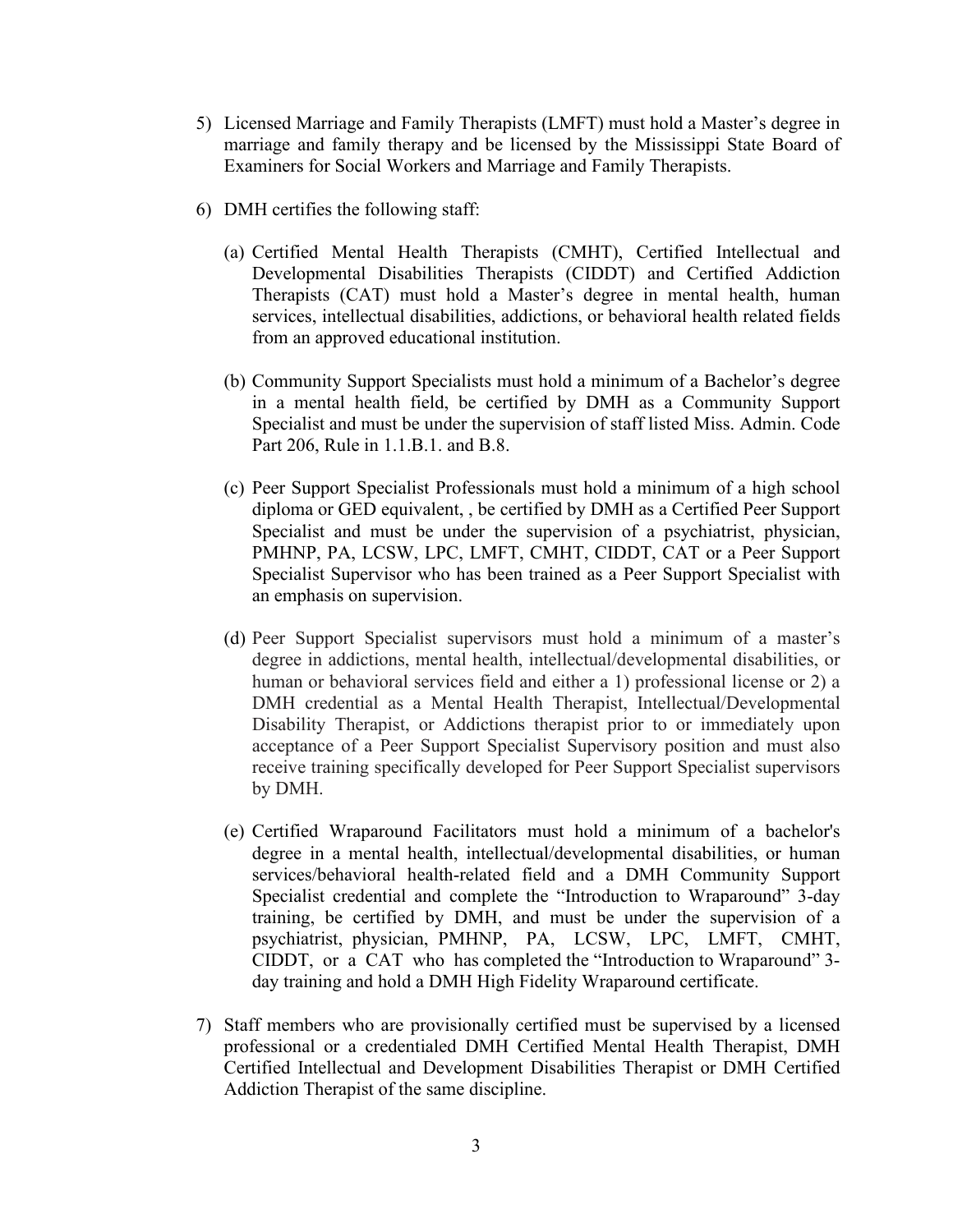- 5) Licensed Marriage and Family Therapists (LMFT) must hold a Master's degree in marriage and family therapy and be licensed by the Mississippi State Board of Examiners for Social Workers and Marriage and Family Therapists.
- 6) DMH certifies the following staff:
	- (a) Certified Mental Health Therapists (CMHT), Certified Intellectual and Developmental Disabilities Therapists (CIDDT) and Certified Addiction Therapists (CAT) must hold a Master's degree in mental health, human services, intellectual disabilities, addictions, or behavioral health related fields from an approved educational institution.
	- (b) Community Support Specialists must hold a minimum of a Bachelor's degree in a mental health field, be certified by DMH as a Community Support Specialist and must be under the supervision of staff listed Miss. Admin. Code Part 206, Rule in 1.1.B.1. and B.8.
	- (c) Peer Support Specialist Professionals must hold a minimum of a high school diploma or GED equivalent, , be certified by DMH as a Certified Peer Support Specialist and must be under the supervision of a psychiatrist, physician, PMHNP, PA, LCSW, LPC, LMFT, CMHT, CIDDT, CAT or a Peer Support Specialist Supervisor who has been trained as a Peer Support Specialist with an emphasis on supervision.
	- (d) Peer Support Specialist supervisors must hold a minimum of a master's degree in addictions, mental health, intellectual/developmental disabilities, or human or behavioral services field and either a 1) professional license or 2) a DMH credential as a Mental Health Therapist, Intellectual/Developmental Disability Therapist, or Addictions therapist prior to or immediately upon acceptance of a Peer Support Specialist Supervisory position and must also receive training specifically developed for Peer Support Specialist supervisors by DMH.
	- (e) Certified Wraparound Facilitators must hold a minimum of a bachelor's degree in a mental health, intellectual/developmental disabilities, or human services/behavioral health-related field and a DMH Community Support Specialist credential and complete the "Introduction to Wraparound" 3-day training, be certified by DMH, and must be under the supervision of a psychiatrist, physician, PMHNP, PA, LCSW, LPC, LMFT, CMHT, CIDDT, or a CAT who has completed the "Introduction to Wraparound" 3 day training and hold a DMH High Fidelity Wraparound certificate.
- 7) Staff members who are provisionally certified must be supervised by a licensed professional or a credentialed DMH Certified Mental Health Therapist, DMH Certified Intellectual and Development Disabilities Therapist or DMH Certified Addiction Therapist of the same discipline.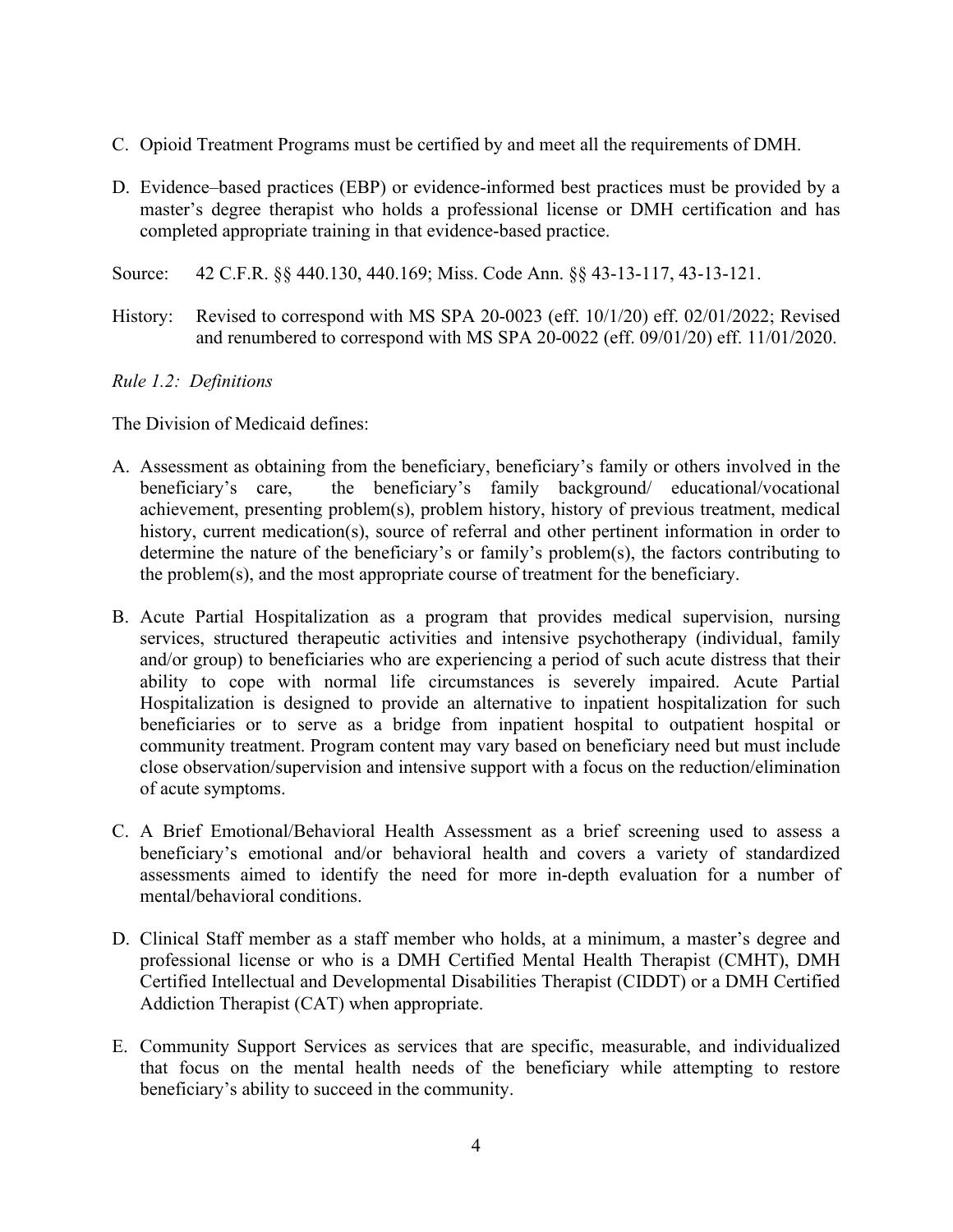- C. Opioid Treatment Programs must be certified by and meet all the requirements of DMH.
- D. Evidence–based practices (EBP) or evidence-informed best practices must be provided by a master's degree therapist who holds a professional license or DMH certification and has completed appropriate training in that evidence-based practice.
- Source: 42 C.F.R. §§ 440.130, 440.169; Miss. Code Ann. §§ 43-13-117, 43-13-121.
- History: Revised to correspond with MS SPA 20-0023 (eff. 10/1/20) eff. 02/01/2022; Revised and renumbered to correspond with MS SPA 20-0022 (eff. 09/01/20) eff. 11/01/2020.

## <span id="page-5-0"></span>*Rule 1.2: Definitions*

The Division of Medicaid defines:

- A. Assessment as obtaining from the beneficiary, beneficiary's family or others involved in the beneficiary's care, the beneficiary's family background/ educational/vocational achievement, presenting problem(s), problem history, history of previous treatment, medical history, current medication(s), source of referral and other pertinent information in order to determine the nature of the beneficiary's or family's problem(s), the factors contributing to the problem(s), and the most appropriate course of treatment for the beneficiary.
- B. Acute Partial Hospitalization as a program that provides medical supervision, nursing services, structured therapeutic activities and intensive psychotherapy (individual, family and/or group) to beneficiaries who are experiencing a period of such acute distress that their ability to cope with normal life circumstances is severely impaired. Acute Partial Hospitalization is designed to provide an alternative to inpatient hospitalization for such beneficiaries or to serve as a bridge from inpatient hospital to outpatient hospital or community treatment. Program content may vary based on beneficiary need but must include close observation/supervision and intensive support with a focus on the reduction/elimination of acute symptoms.
- C. A Brief Emotional/Behavioral Health Assessment as a brief screening used to assess a beneficiary's emotional and/or behavioral health and covers a variety of standardized assessments aimed to identify the need for more in-depth evaluation for a number of mental/behavioral conditions.
- D. Clinical Staff member as a staff member who holds, at a minimum, a master's degree and professional license or who is a DMH Certified Mental Health Therapist (CMHT), DMH Certified Intellectual and Developmental Disabilities Therapist (CIDDT) or a DMH Certified Addiction Therapist (CAT) when appropriate.
- E. Community Support Services as services that are specific, measurable, and individualized that focus on the mental health needs of the beneficiary while attempting to restore beneficiary's ability to succeed in the community.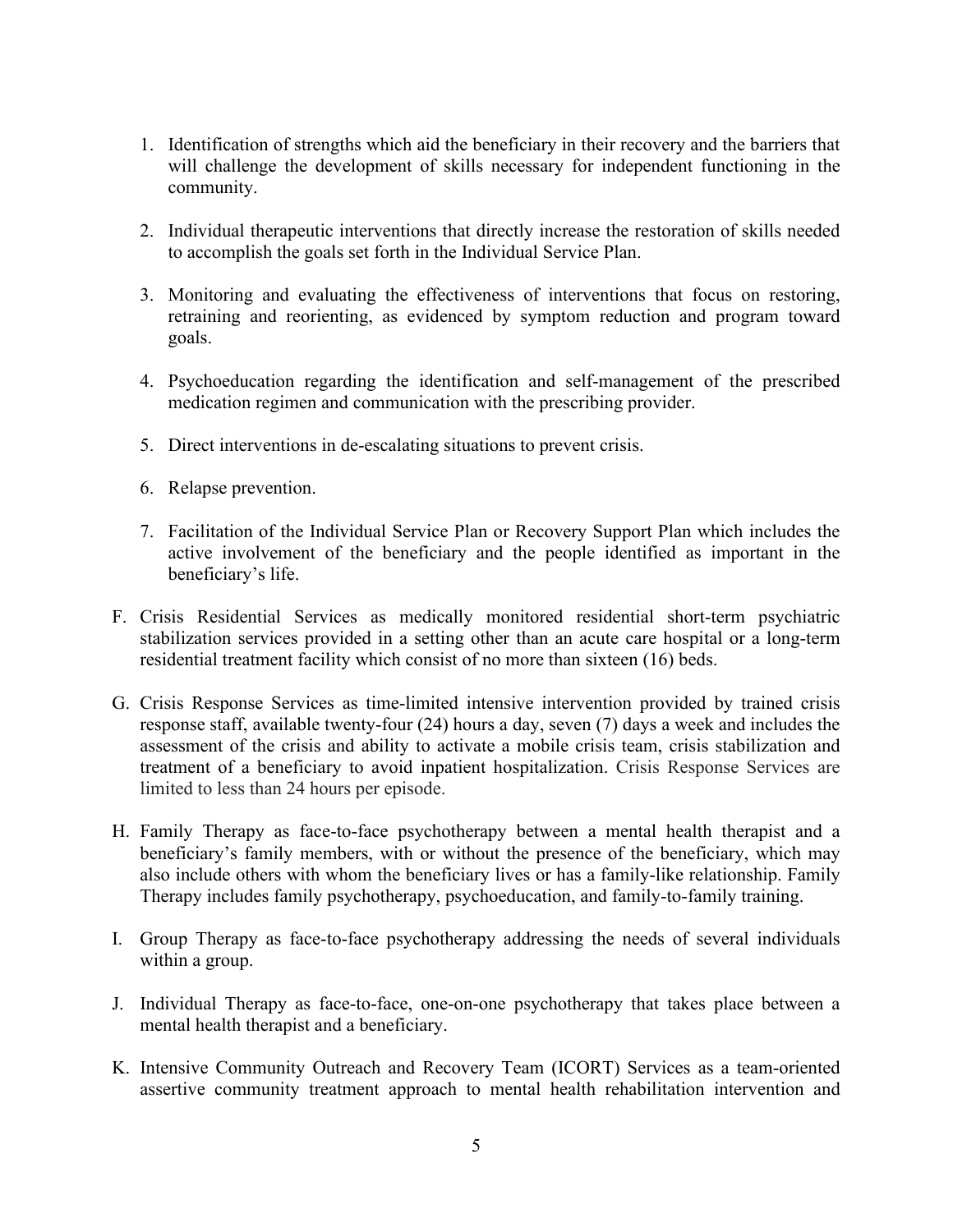- 1. Identification of strengths which aid the beneficiary in their recovery and the barriers that will challenge the development of skills necessary for independent functioning in the community.
- 2. Individual therapeutic interventions that directly increase the restoration of skills needed to accomplish the goals set forth in the Individual Service Plan.
- 3. Monitoring and evaluating the effectiveness of interventions that focus on restoring, retraining and reorienting, as evidenced by symptom reduction and program toward goals.
- 4. Psychoeducation regarding the identification and self-management of the prescribed medication regimen and communication with the prescribing provider.
- 5. Direct interventions in de-escalating situations to prevent crisis.
- 6. Relapse prevention.
- 7. Facilitation of the Individual Service Plan or Recovery Support Plan which includes the active involvement of the beneficiary and the people identified as important in the beneficiary's life.
- F. Crisis Residential Services as medically monitored residential short-term psychiatric stabilization services provided in a setting other than an acute care hospital or a long-term residential treatment facility which consist of no more than sixteen (16) beds.
- G. Crisis Response Services as time-limited intensive intervention provided by trained crisis response staff, available twenty-four (24) hours a day, seven (7) days a week and includes the assessment of the crisis and ability to activate a mobile crisis team, crisis stabilization and treatment of a beneficiary to avoid inpatient hospitalization. Crisis Response Services are limited to less than 24 hours per episode.
- H. Family Therapy as face-to-face psychotherapy between a mental health therapist and a beneficiary's family members, with or without the presence of the beneficiary, which may also include others with whom the beneficiary lives or has a family-like relationship. Family Therapy includes family psychotherapy, psychoeducation, and family-to-family training.
- I. Group Therapy as face-to-face psychotherapy addressing the needs of several individuals within a group.
- J. Individual Therapy as face-to-face, one-on-one psychotherapy that takes place between a mental health therapist and a beneficiary.
- K. Intensive Community Outreach and Recovery Team (ICORT) Services as a team-oriented assertive community treatment approach to mental health rehabilitation intervention and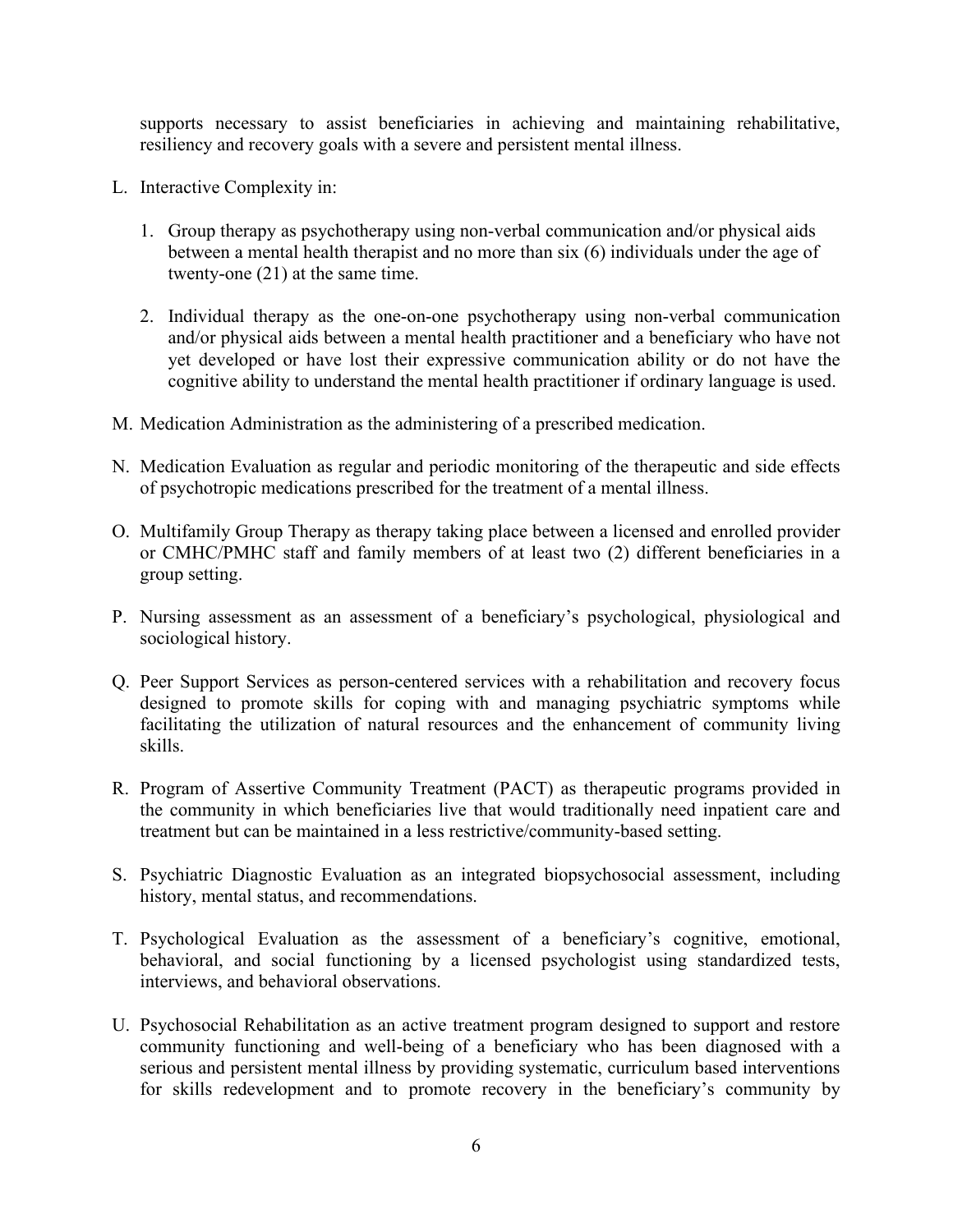supports necessary to assist beneficiaries in achieving and maintaining rehabilitative, resiliency and recovery goals with a severe and persistent mental illness.

- L. Interactive Complexity in:
	- 1. Group therapy as psychotherapy using non-verbal communication and/or physical aids between a mental health therapist and no more than six (6) individuals under the age of twenty-one (21) at the same time.
	- 2. Individual therapy as the one-on-one psychotherapy using non-verbal communication and/or physical aids between a mental health practitioner and a beneficiary who have not yet developed or have lost their expressive communication ability or do not have the cognitive ability to understand the mental health practitioner if ordinary language is used.
- M. Medication Administration as the administering of a prescribed medication.
- N. Medication Evaluation as regular and periodic monitoring of the therapeutic and side effects of psychotropic medications prescribed for the treatment of a mental illness.
- O. Multifamily Group Therapy as therapy taking place between a licensed and enrolled provider or CMHC/PMHC staff and family members of at least two (2) different beneficiaries in a group setting.
- P. Nursing assessment as an assessment of a beneficiary's psychological, physiological and sociological history.
- Q. Peer Support Services as person-centered services with a rehabilitation and recovery focus designed to promote skills for coping with and managing psychiatric symptoms while facilitating the utilization of natural resources and the enhancement of community living skills.
- R. Program of Assertive Community Treatment (PACT) as therapeutic programs provided in the community in which beneficiaries live that would traditionally need inpatient care and treatment but can be maintained in a less restrictive/community-based setting.
- S. Psychiatric Diagnostic Evaluation as an integrated biopsychosocial assessment, including history, mental status, and recommendations.
- T. Psychological Evaluation as the assessment of a beneficiary's cognitive, emotional, behavioral, and social functioning by a licensed psychologist using standardized tests, interviews, and behavioral observations.
- U. Psychosocial Rehabilitation as an active treatment program designed to support and restore community functioning and well-being of a beneficiary who has been diagnosed with a serious and persistent mental illness by providing systematic, curriculum based interventions for skills redevelopment and to promote recovery in the beneficiary's community by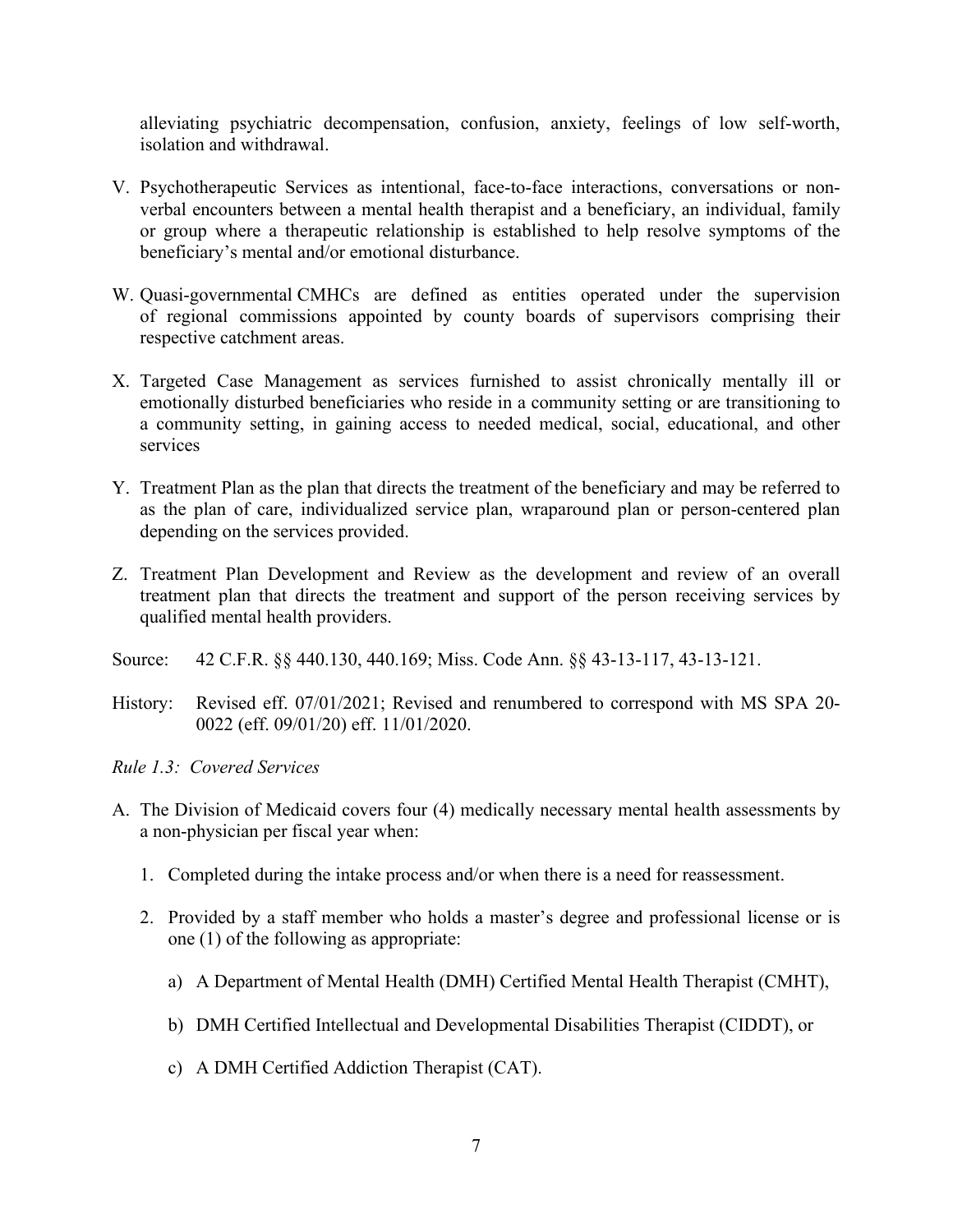alleviating psychiatric decompensation, confusion, anxiety, feelings of low self-worth, isolation and withdrawal.

- V. Psychotherapeutic Services as intentional, face-to-face interactions, conversations or nonverbal encounters between a mental health therapist and a beneficiary, an individual, family or group where a therapeutic relationship is established to help resolve symptoms of the beneficiary's mental and/or emotional disturbance.
- W. Quasi-governmental CMHCs are defined as entities operated under the supervision of regional commissions appointed by county boards of supervisors comprising their respective catchment areas.
- X. Targeted Case Management as services furnished to assist chronically mentally ill or emotionally disturbed beneficiaries who reside in a community setting or are transitioning to a community setting, in gaining access to needed medical, social, educational, and other services
- Y. Treatment Plan as the plan that directs the treatment of the beneficiary and may be referred to as the plan of care, individualized service plan, wraparound plan or person-centered plan depending on the services provided.
- Z. Treatment Plan Development and Review as the development and review of an overall treatment plan that directs the treatment and support of the person receiving services by qualified mental health providers.
- Source: 42 C.F.R. §§ 440.130, 440.169; Miss. Code Ann. §§ 43-13-117, 43-13-121.
- History: Revised eff. 07/01/2021; Revised and renumbered to correspond with MS SPA 20- 0022 (eff. 09/01/20) eff. 11/01/2020.

<span id="page-8-0"></span>*Rule 1.3: Covered Services*

- A. The Division of Medicaid covers four (4) medically necessary mental health assessments by a non-physician per fiscal year when:
	- 1. Completed during the intake process and/or when there is a need for reassessment.
	- 2. Provided by a staff member who holds a master's degree and professional license or is one (1) of the following as appropriate:
		- a) A Department of Mental Health (DMH) Certified Mental Health Therapist (CMHT),
		- b) DMH Certified Intellectual and Developmental Disabilities Therapist (CIDDT), or
		- c) A DMH Certified Addiction Therapist (CAT).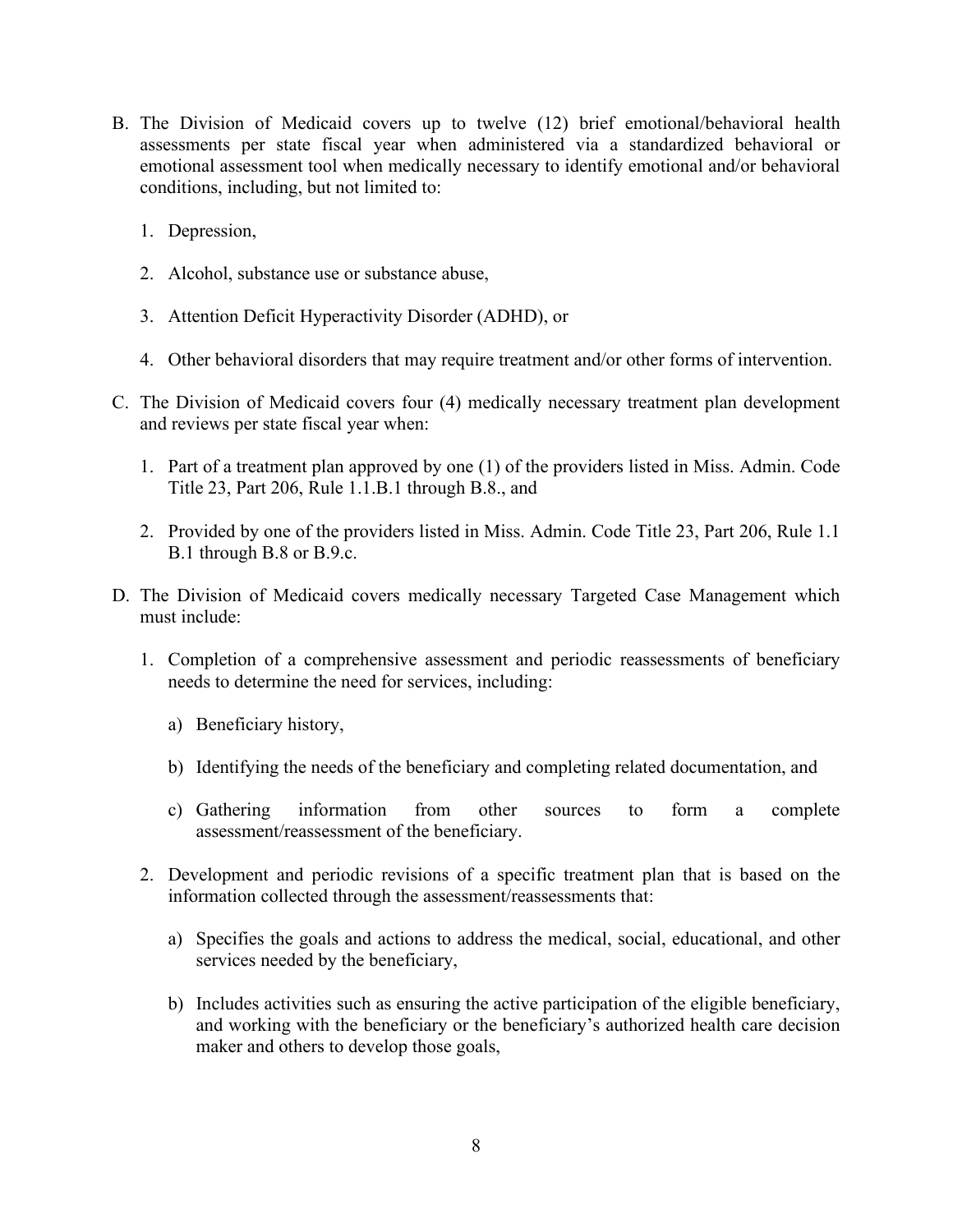- B. The Division of Medicaid covers up to twelve (12) brief emotional/behavioral health assessments per state fiscal year when administered via a standardized behavioral or emotional assessment tool when medically necessary to identify emotional and/or behavioral conditions, including, but not limited to:
	- 1. Depression,
	- 2. Alcohol, substance use or substance abuse,
	- 3. Attention Deficit Hyperactivity Disorder (ADHD), or
	- 4. Other behavioral disorders that may require treatment and/or other forms of intervention.
- C. The Division of Medicaid covers four (4) medically necessary treatment plan development and reviews per state fiscal year when:
	- 1. Part of a treatment plan approved by one (1) of the providers listed in Miss. Admin. Code Title 23, Part 206, Rule 1.1.B.1 through B.8., and
	- 2. Provided by one of the providers listed in Miss. Admin. Code Title 23, Part 206, Rule 1.1 B.1 through B.8 or B.9.c.
- D. The Division of Medicaid covers medically necessary Targeted Case Management which must include:
	- 1. Completion of a comprehensive assessment and periodic reassessments of beneficiary needs to determine the need for services, including:
		- a) Beneficiary history,
		- b) Identifying the needs of the beneficiary and completing related documentation, and
		- c) Gathering information from other sources to form a complete assessment/reassessment of the beneficiary.
	- 2. Development and periodic revisions of a specific treatment plan that is based on the information collected through the assessment/reassessments that:
		- a) Specifies the goals and actions to address the medical, social, educational, and other services needed by the beneficiary,
		- b) Includes activities such as ensuring the active participation of the eligible beneficiary, and working with the beneficiary or the beneficiary's authorized health care decision maker and others to develop those goals,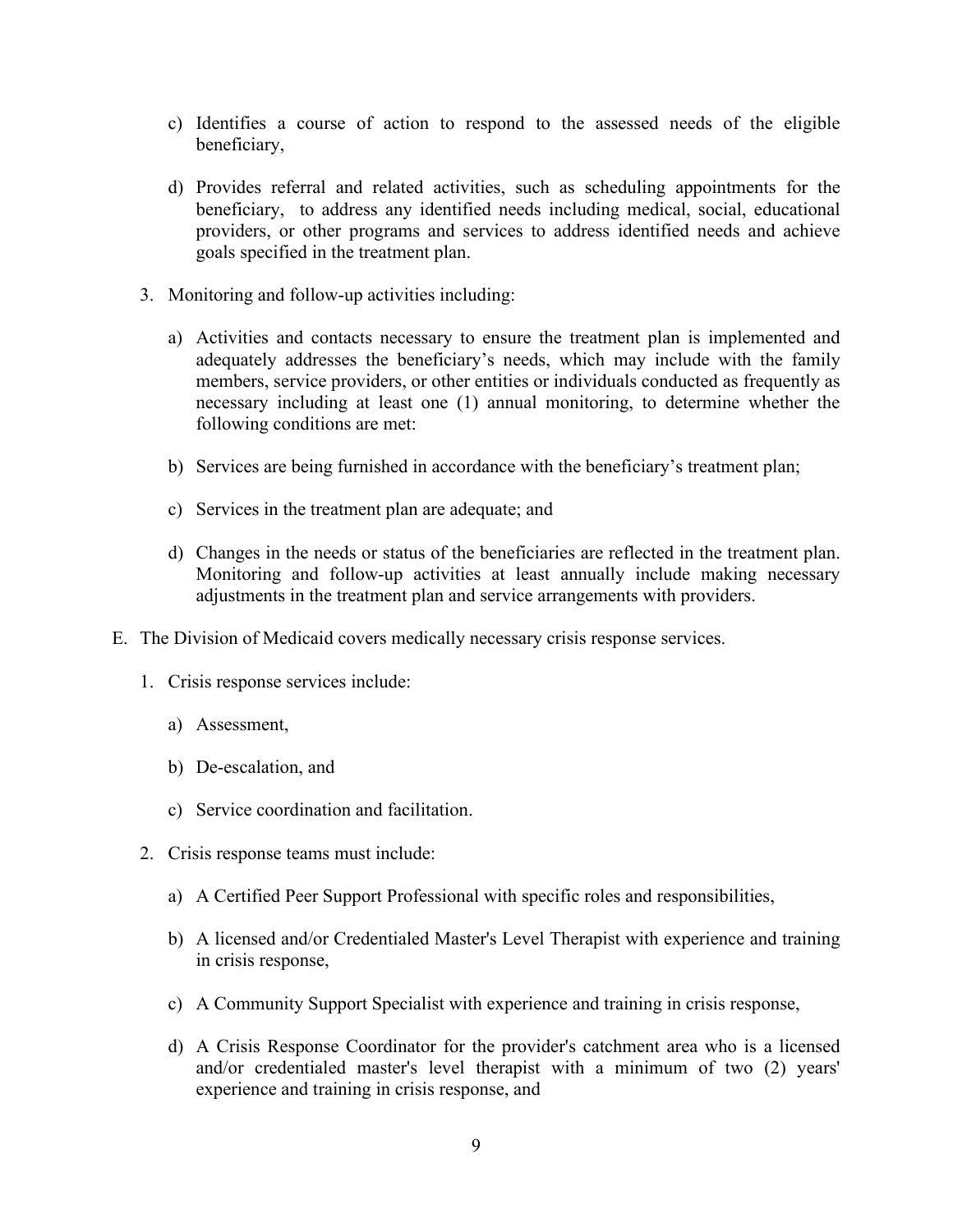- c) Identifies a course of action to respond to the assessed needs of the eligible beneficiary,
- d) Provides referral and related activities, such as scheduling appointments for the beneficiary, to address any identified needs including medical, social, educational providers, or other programs and services to address identified needs and achieve goals specified in the treatment plan.
- 3. Monitoring and follow-up activities including:
	- a) Activities and contacts necessary to ensure the treatment plan is implemented and adequately addresses the beneficiary's needs, which may include with the family members, service providers, or other entities or individuals conducted as frequently as necessary including at least one (1) annual monitoring, to determine whether the following conditions are met:
	- b) Services are being furnished in accordance with the beneficiary's treatment plan;
	- c) Services in the treatment plan are adequate; and
	- d) Changes in the needs or status of the beneficiaries are reflected in the treatment plan. Monitoring and follow-up activities at least annually include making necessary adjustments in the treatment plan and service arrangements with providers.
- E. The Division of Medicaid covers medically necessary crisis response services.
	- 1. Crisis response services include:
		- a) Assessment,
		- b) De-escalation, and
		- c) Service coordination and facilitation.
	- 2. Crisis response teams must include:
		- a) A Certified Peer Support Professional with specific roles and responsibilities,
		- b) A licensed and/or Credentialed Master's Level Therapist with experience and training in crisis response,
		- c) A Community Support Specialist with experience and training in crisis response,
		- d) A Crisis Response Coordinator for the provider's catchment area who is a licensed and/or credentialed master's level therapist with a minimum of two (2) years' experience and training in crisis response, and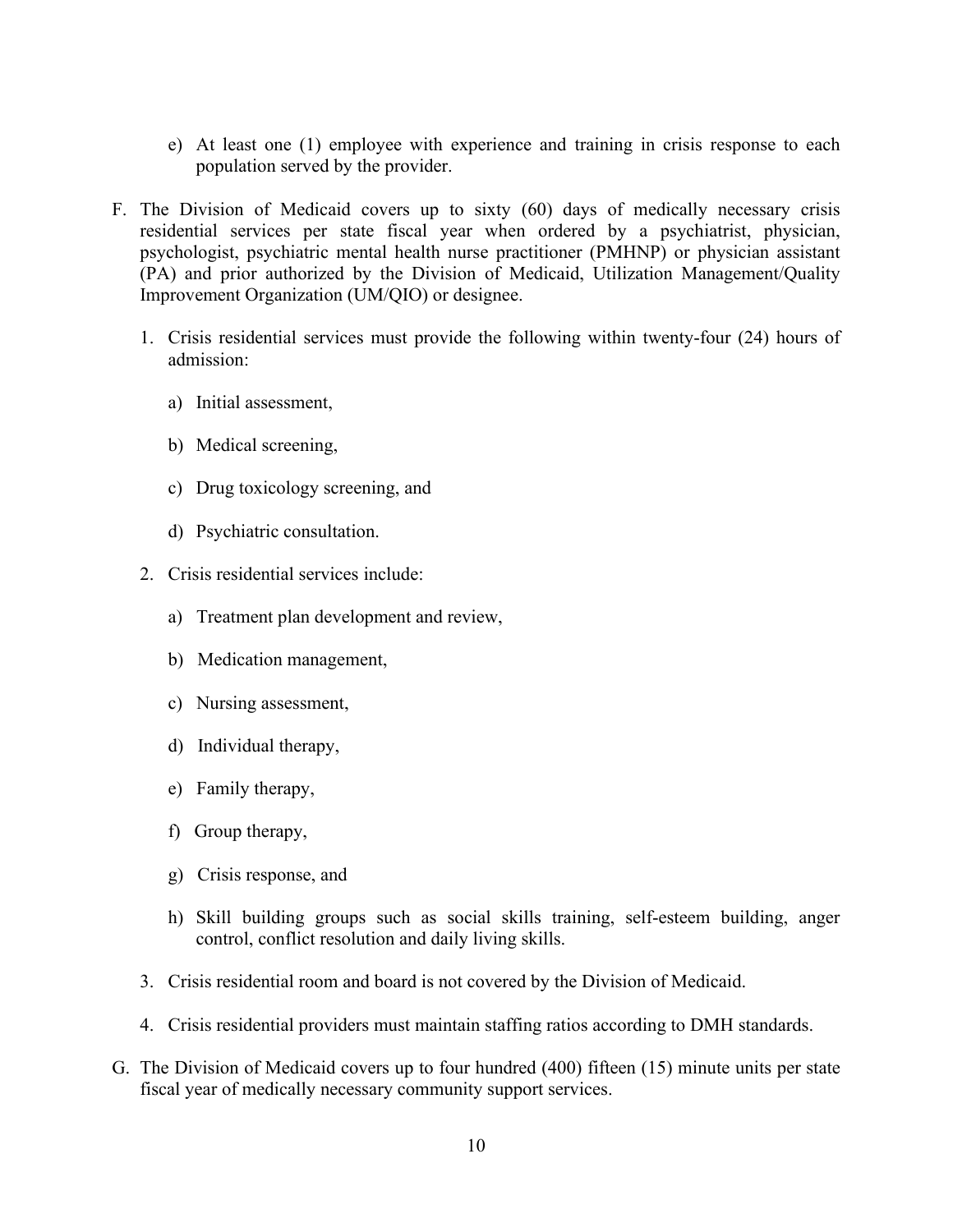- e) At least one (1) employee with experience and training in crisis response to each population served by the provider.
- F. The Division of Medicaid covers up to sixty (60) days of medically necessary crisis residential services per state fiscal year when ordered by a psychiatrist, physician, psychologist, psychiatric mental health nurse practitioner (PMHNP) or physician assistant (PA) and prior authorized by the Division of Medicaid, Utilization Management/Quality Improvement Organization (UM/QIO) or designee.
	- 1. Crisis residential services must provide the following within twenty-four (24) hours of admission:
		- a) Initial assessment,
		- b) Medical screening,
		- c) Drug toxicology screening, and
		- d) Psychiatric consultation.
	- 2. Crisis residential services include:
		- a) Treatment plan development and review,
		- b) Medication management,
		- c) Nursing assessment,
		- d) Individual therapy,
		- e) Family therapy,
		- f) Group therapy,
		- g) Crisis response, and
		- h) Skill building groups such as social skills training, self-esteem building, anger control, conflict resolution and daily living skills.
	- 3. Crisis residential room and board is not covered by the Division of Medicaid.
	- 4. Crisis residential providers must maintain staffing ratios according to DMH standards.
- G. The Division of Medicaid covers up to four hundred (400) fifteen (15) minute units per state fiscal year of medically necessary community support services.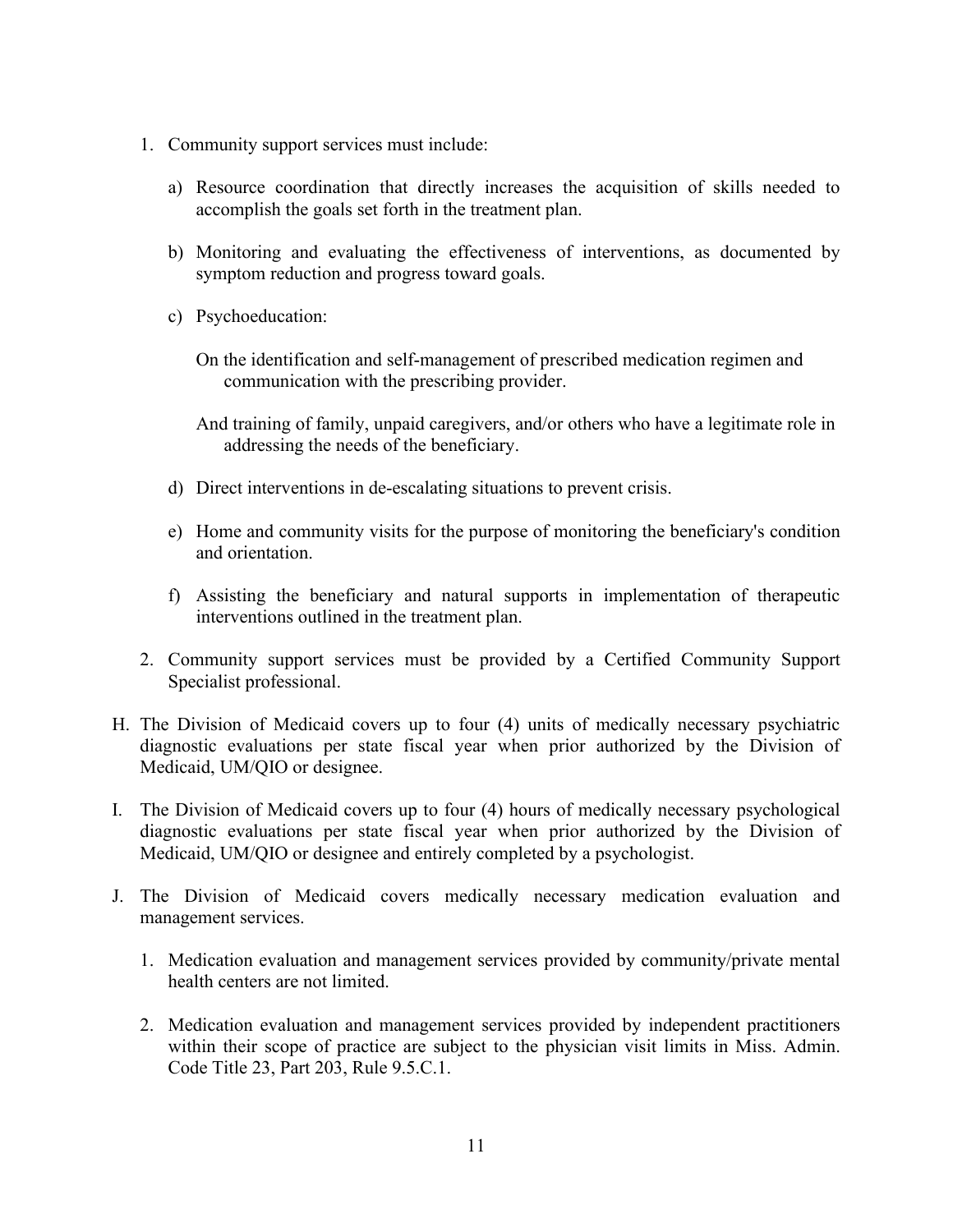- 1. Community support services must include:
	- a) Resource coordination that directly increases the acquisition of skills needed to accomplish the goals set forth in the treatment plan.
	- b) Monitoring and evaluating the effectiveness of interventions, as documented by symptom reduction and progress toward goals.
	- c) Psychoeducation:
		- On the identification and self-management of prescribed medication regimen and communication with the prescribing provider.
		- And training of family, unpaid caregivers, and/or others who have a legitimate role in addressing the needs of the beneficiary.
	- d) Direct interventions in de-escalating situations to prevent crisis.
	- e) Home and community visits for the purpose of monitoring the beneficiary's condition and orientation.
	- f) Assisting the beneficiary and natural supports in implementation of therapeutic interventions outlined in the treatment plan.
- 2. Community support services must be provided by a Certified Community Support Specialist professional.
- H. The Division of Medicaid covers up to four (4) units of medically necessary psychiatric diagnostic evaluations per state fiscal year when prior authorized by the Division of Medicaid, UM/QIO or designee.
- I. The Division of Medicaid covers up to four (4) hours of medically necessary psychological diagnostic evaluations per state fiscal year when prior authorized by the Division of Medicaid, UM/QIO or designee and entirely completed by a psychologist.
- J. The Division of Medicaid covers medically necessary medication evaluation and management services.
	- 1. Medication evaluation and management services provided by community/private mental health centers are not limited.
	- 2. Medication evaluation and management services provided by independent practitioners within their scope of practice are subject to the physician visit limits in Miss. Admin. Code Title 23, Part 203, Rule 9.5.C.1.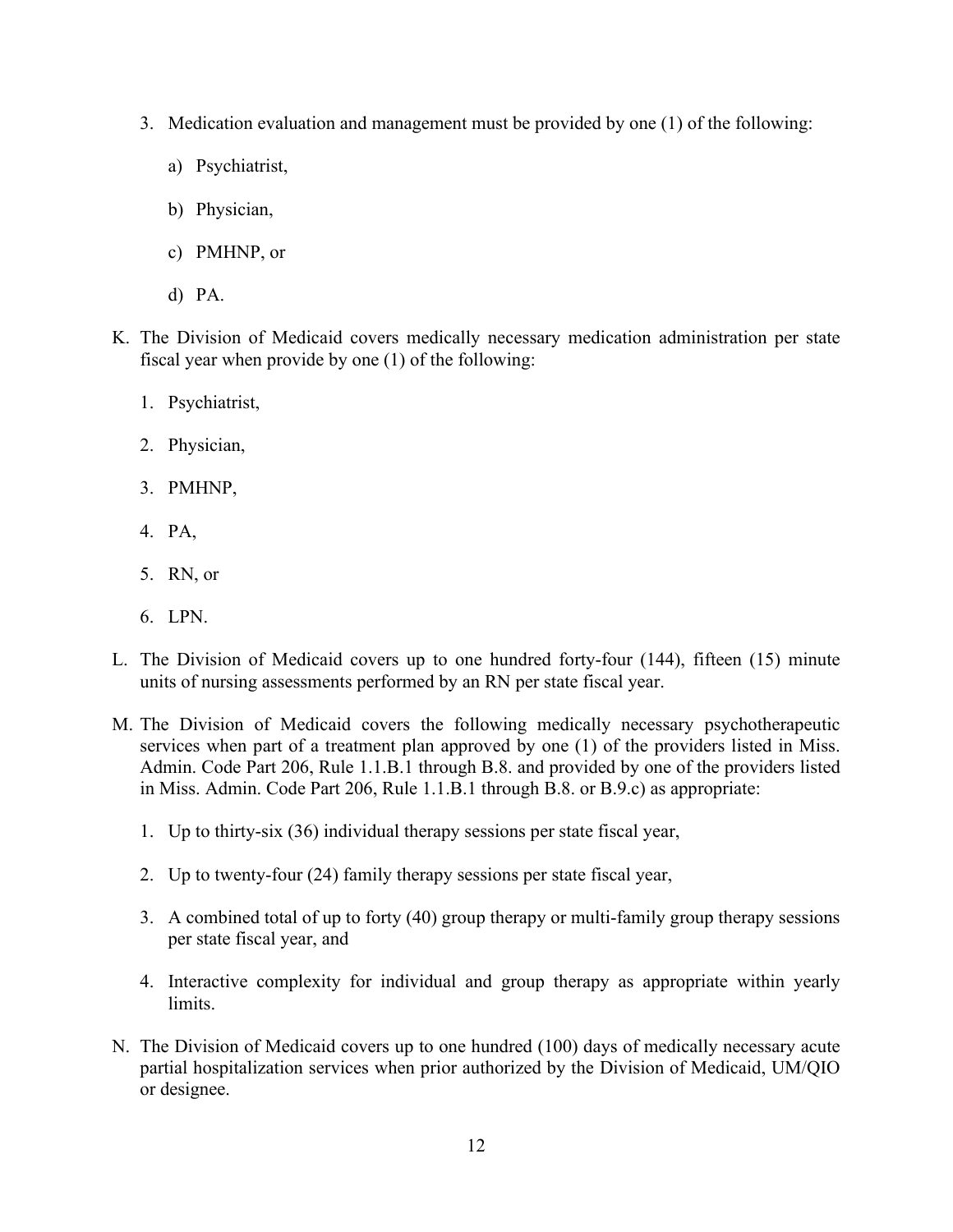- 3. Medication evaluation and management must be provided by one (1) of the following:
	- a) Psychiatrist,
	- b) Physician,
	- c) PMHNP, or
	- d) PA.
- K. The Division of Medicaid covers medically necessary medication administration per state fiscal year when provide by one (1) of the following:
	- 1. Psychiatrist,
	- 2. Physician,
	- 3. PMHNP,
	- 4. PA,
	- 5. RN, or
	- 6. LPN.
- L. The Division of Medicaid covers up to one hundred forty-four (144), fifteen (15) minute units of nursing assessments performed by an RN per state fiscal year.
- M. The Division of Medicaid covers the following medically necessary psychotherapeutic services when part of a treatment plan approved by one (1) of the providers listed in Miss. Admin. Code Part 206, Rule 1.1.B.1 through B.8. and provided by one of the providers listed in Miss. Admin. Code Part 206, Rule 1.1.B.1 through B.8. or B.9.c) as appropriate:
	- 1. Up to thirty-six (36) individual therapy sessions per state fiscal year,
	- 2. Up to twenty-four (24) family therapy sessions per state fiscal year,
	- 3. A combined total of up to forty (40) group therapy or multi-family group therapy sessions per state fiscal year, and
	- 4. Interactive complexity for individual and group therapy as appropriate within yearly limits.
- N. The Division of Medicaid covers up to one hundred (100) days of medically necessary acute partial hospitalization services when prior authorized by the Division of Medicaid, UM/QIO or designee.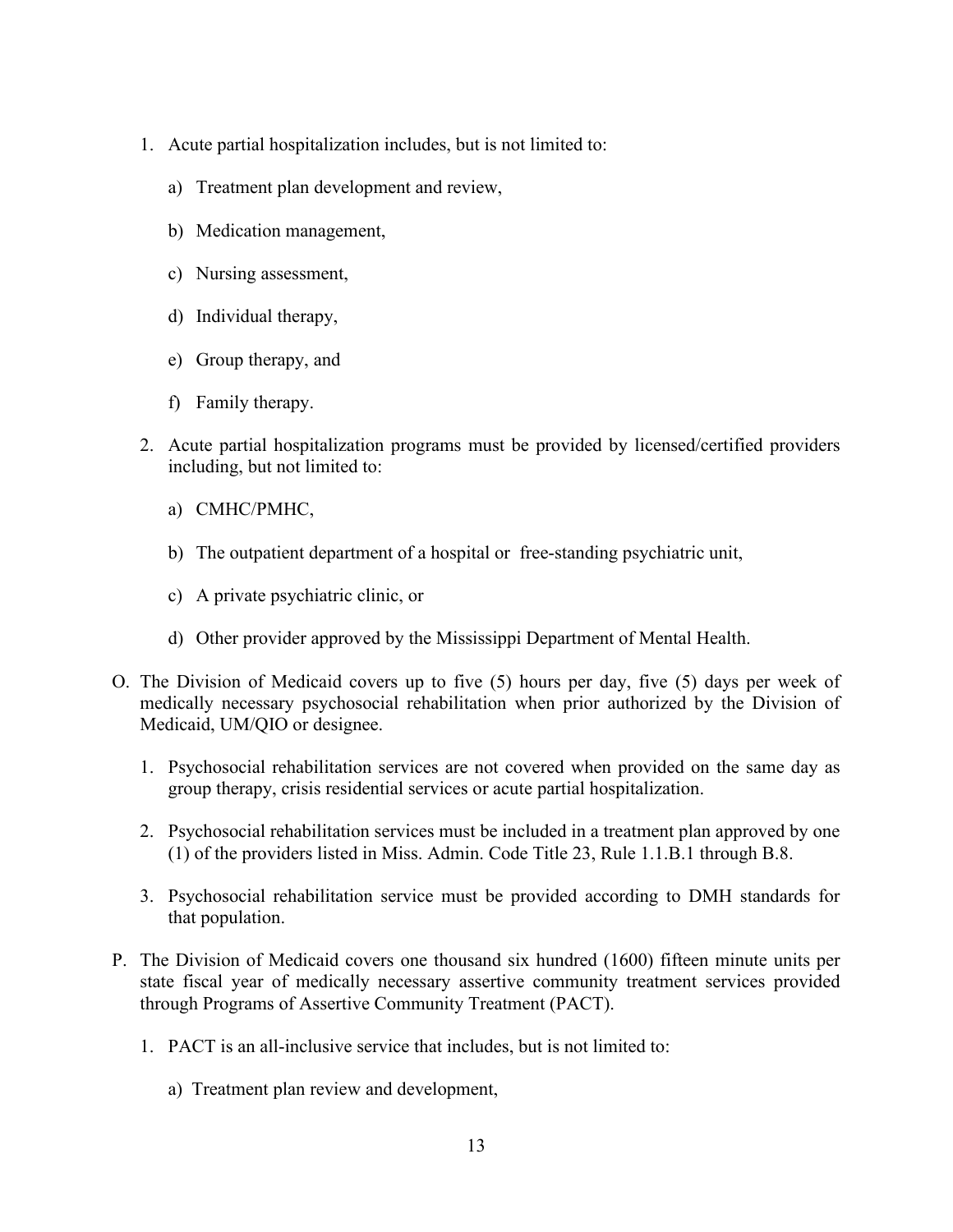- 1. Acute partial hospitalization includes, but is not limited to:
	- a) Treatment plan development and review,
	- b) Medication management,
	- c) Nursing assessment,
	- d) Individual therapy,
	- e) Group therapy, and
	- f) Family therapy.
- 2. Acute partial hospitalization programs must be provided by licensed/certified providers including, but not limited to:
	- a) CMHC/PMHC,
	- b) The outpatient department of a hospital or free-standing psychiatric unit,
	- c) A private psychiatric clinic, or
	- d) Other provider approved by the Mississippi Department of Mental Health.
- O. The Division of Medicaid covers up to five (5) hours per day, five (5) days per week of medically necessary psychosocial rehabilitation when prior authorized by the Division of Medicaid, UM/QIO or designee.
	- 1. Psychosocial rehabilitation services are not covered when provided on the same day as group therapy, crisis residential services or acute partial hospitalization.
	- 2. Psychosocial rehabilitation services must be included in a treatment plan approved by one (1) of the providers listed in Miss. Admin. Code Title 23, Rule 1.1.B.1 through B.8.
	- 3. Psychosocial rehabilitation service must be provided according to DMH standards for that population.
- P. The Division of Medicaid covers one thousand six hundred (1600) fifteen minute units per state fiscal year of medically necessary assertive community treatment services provided through Programs of Assertive Community Treatment (PACT).
	- 1. PACT is an all-inclusive service that includes, but is not limited to:
		- a) Treatment plan review and development,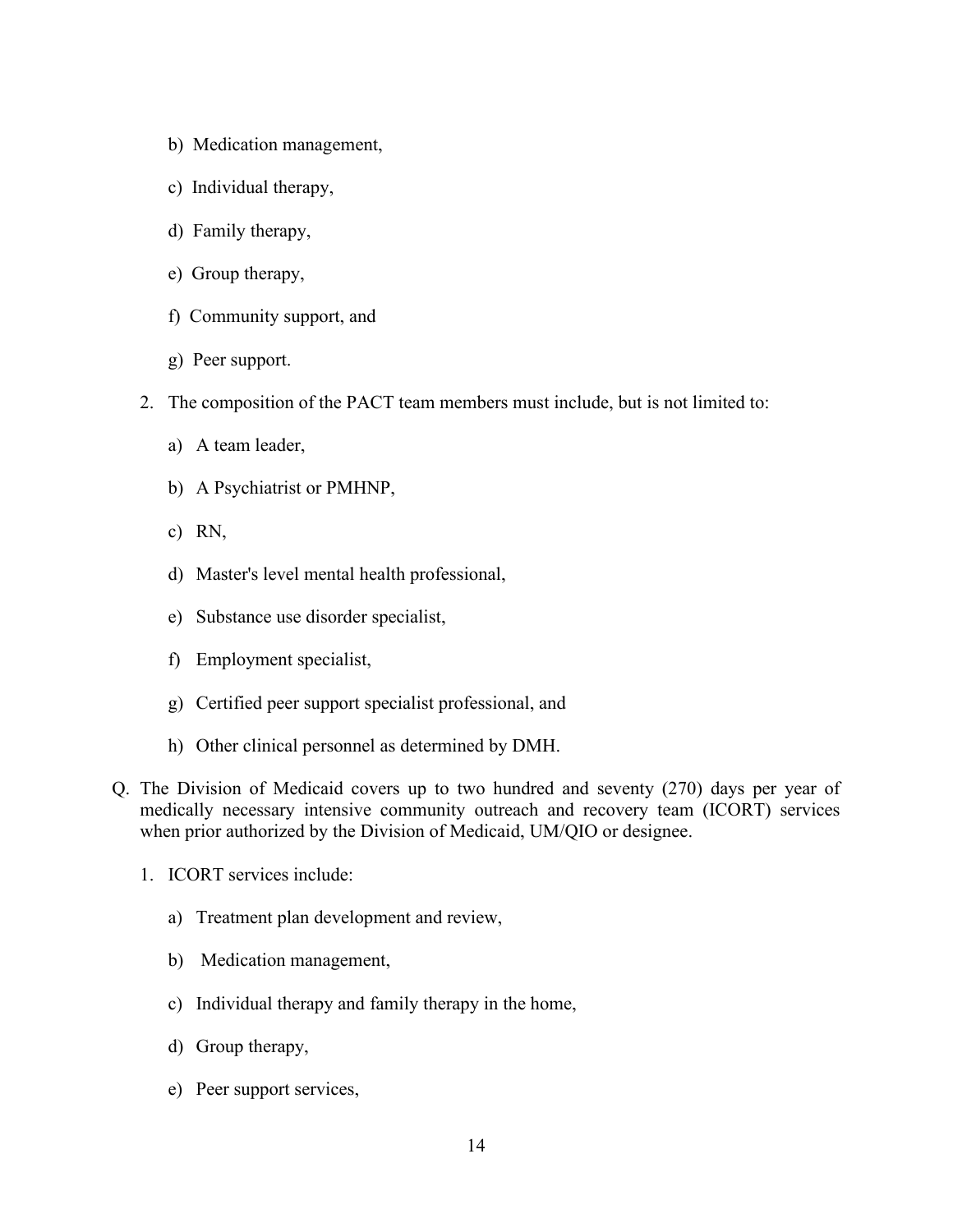- b) Medication management,
- c) Individual therapy,
- d) Family therapy,
- e) Group therapy,
- f) Community support, and
- g) Peer support.
- 2. The composition of the PACT team members must include, but is not limited to:
	- a) A team leader,
	- b) A Psychiatrist or PMHNP,
	- c) RN,
	- d) Master's level mental health professional,
	- e) Substance use disorder specialist,
	- f) Employment specialist,
	- g) Certified peer support specialist professional, and
	- h) Other clinical personnel as determined by DMH.
- Q. The Division of Medicaid covers up to two hundred and seventy (270) days per year of medically necessary intensive community outreach and recovery team (ICORT) services when prior authorized by the Division of Medicaid, UM/QIO or designee.
	- 1. ICORT services include:
		- a) Treatment plan development and review,
		- b) Medication management,
		- c) Individual therapy and family therapy in the home,
		- d) Group therapy,
		- e) Peer support services,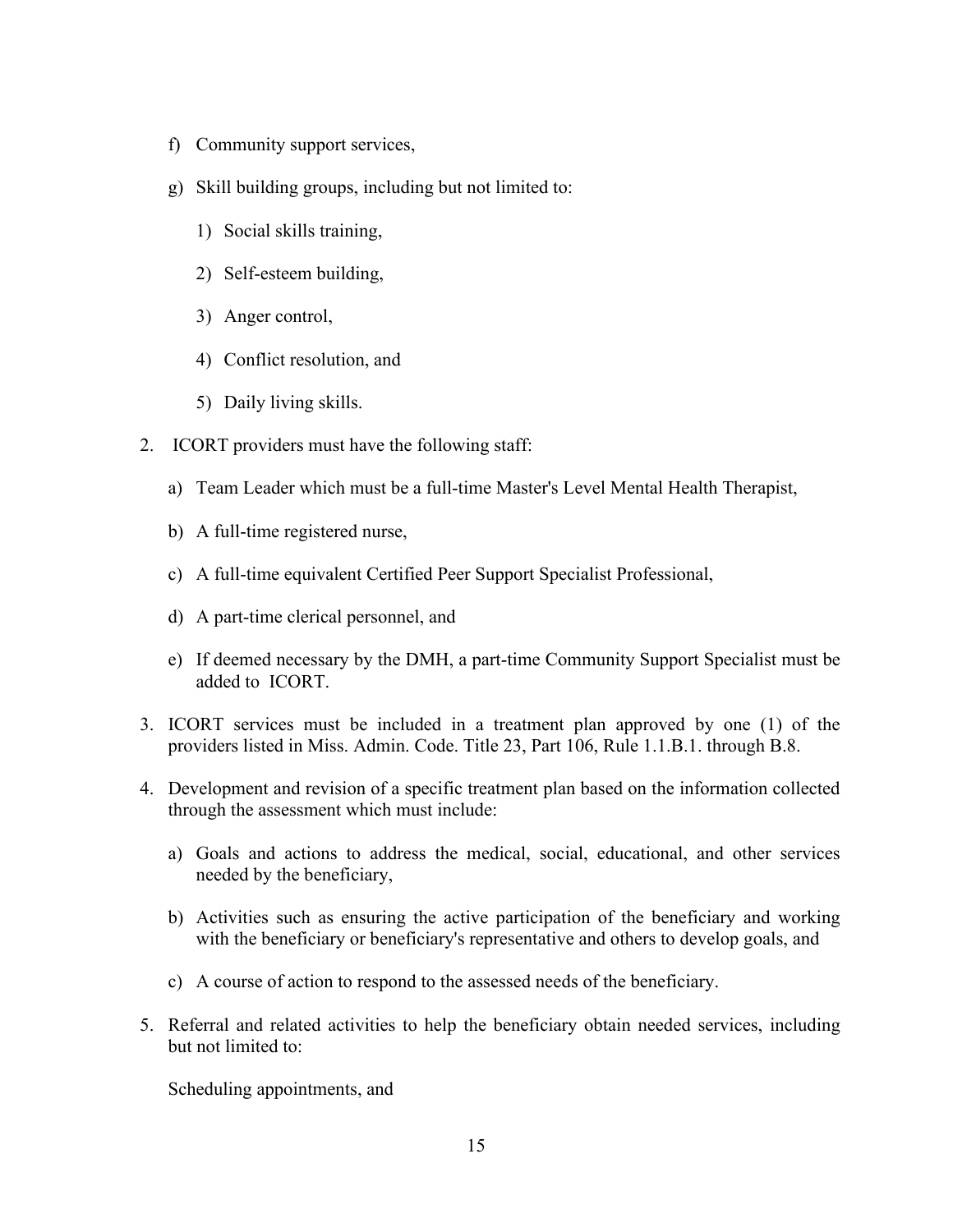- f) Community support services,
- g) Skill building groups, including but not limited to:
	- 1) Social skills training,
	- 2) Self-esteem building,
	- 3) Anger control,
	- 4) Conflict resolution, and
	- 5) Daily living skills.
- 2. ICORT providers must have the following staff:
	- a) Team Leader which must be a full-time Master's Level Mental Health Therapist,
	- b) A full-time registered nurse,
	- c) A full-time equivalent Certified Peer Support Specialist Professional,
	- d) A part-time clerical personnel, and
	- e) If deemed necessary by the DMH, a part-time Community Support Specialist must be added to ICORT.
- 3. ICORT services must be included in a treatment plan approved by one (1) of the providers listed in Miss. Admin. Code. Title 23, Part 106, Rule 1.1.B.1. through B.8.
- 4. Development and revision of a specific treatment plan based on the information collected through the assessment which must include:
	- a) Goals and actions to address the medical, social, educational, and other services needed by the beneficiary,
	- b) Activities such as ensuring the active participation of the beneficiary and working with the beneficiary or beneficiary's representative and others to develop goals, and
	- c) A course of action to respond to the assessed needs of the beneficiary.
- 5. Referral and related activities to help the beneficiary obtain needed services, including but not limited to:

Scheduling appointments, and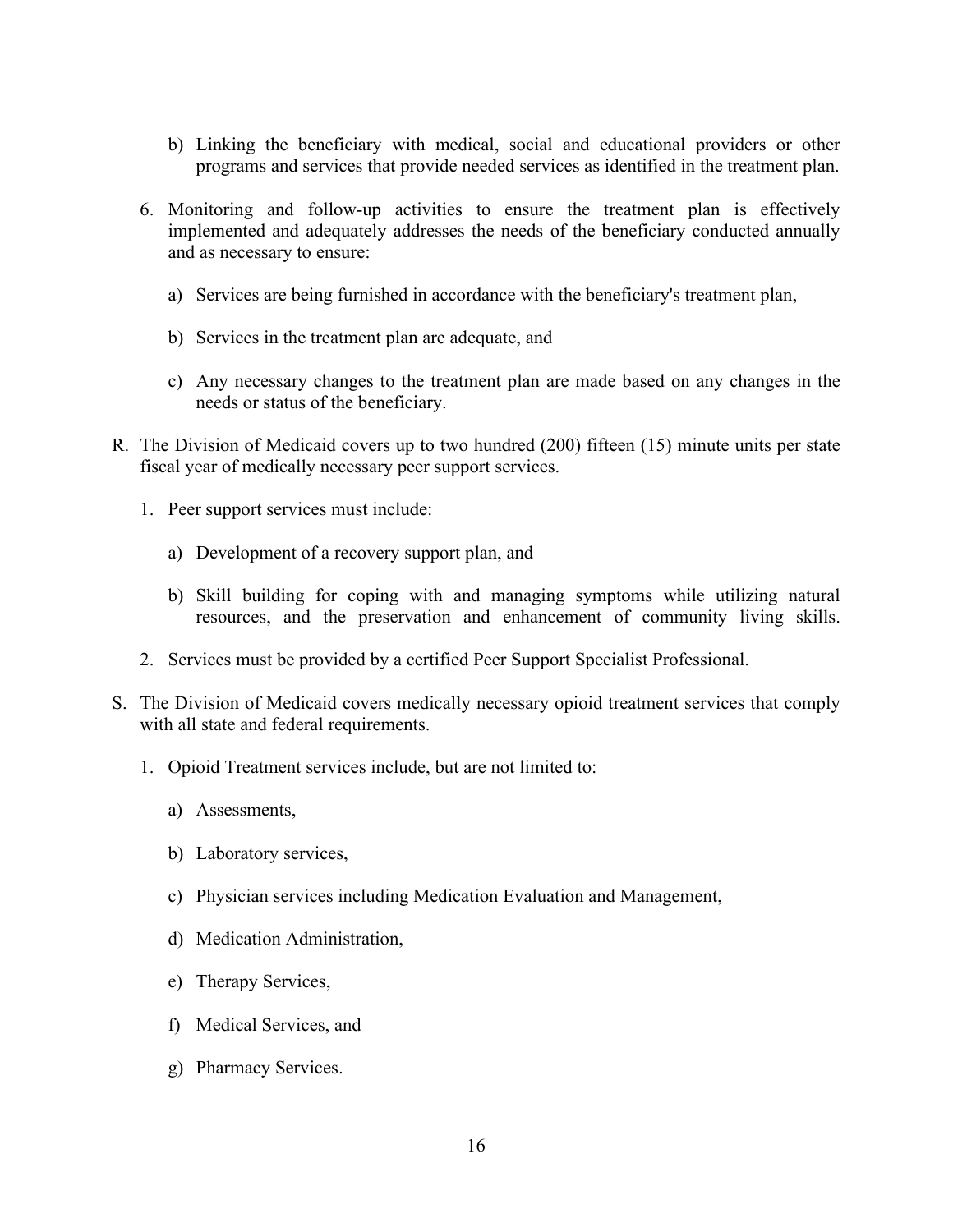- b) Linking the beneficiary with medical, social and educational providers or other programs and services that provide needed services as identified in the treatment plan.
- 6. Monitoring and follow-up activities to ensure the treatment plan is effectively implemented and adequately addresses the needs of the beneficiary conducted annually and as necessary to ensure:
	- a) Services are being furnished in accordance with the beneficiary's treatment plan,
	- b) Services in the treatment plan are adequate, and
	- c) Any necessary changes to the treatment plan are made based on any changes in the needs or status of the beneficiary.
- R. The Division of Medicaid covers up to two hundred (200) fifteen (15) minute units per state fiscal year of medically necessary peer support services.
	- 1. Peer support services must include:
		- a) Development of a recovery support plan, and
		- b) Skill building for coping with and managing symptoms while utilizing natural resources, and the preservation and enhancement of community living skills.
	- 2. Services must be provided by a certified Peer Support Specialist Professional.
- S. The Division of Medicaid covers medically necessary opioid treatment services that comply with all state and federal requirements.
	- 1. Opioid Treatment services include, but are not limited to:
		- a) Assessments,
		- b) Laboratory services,
		- c) Physician services including Medication Evaluation and Management,
		- d) Medication Administration,
		- e) Therapy Services,
		- f) Medical Services, and
		- g) Pharmacy Services.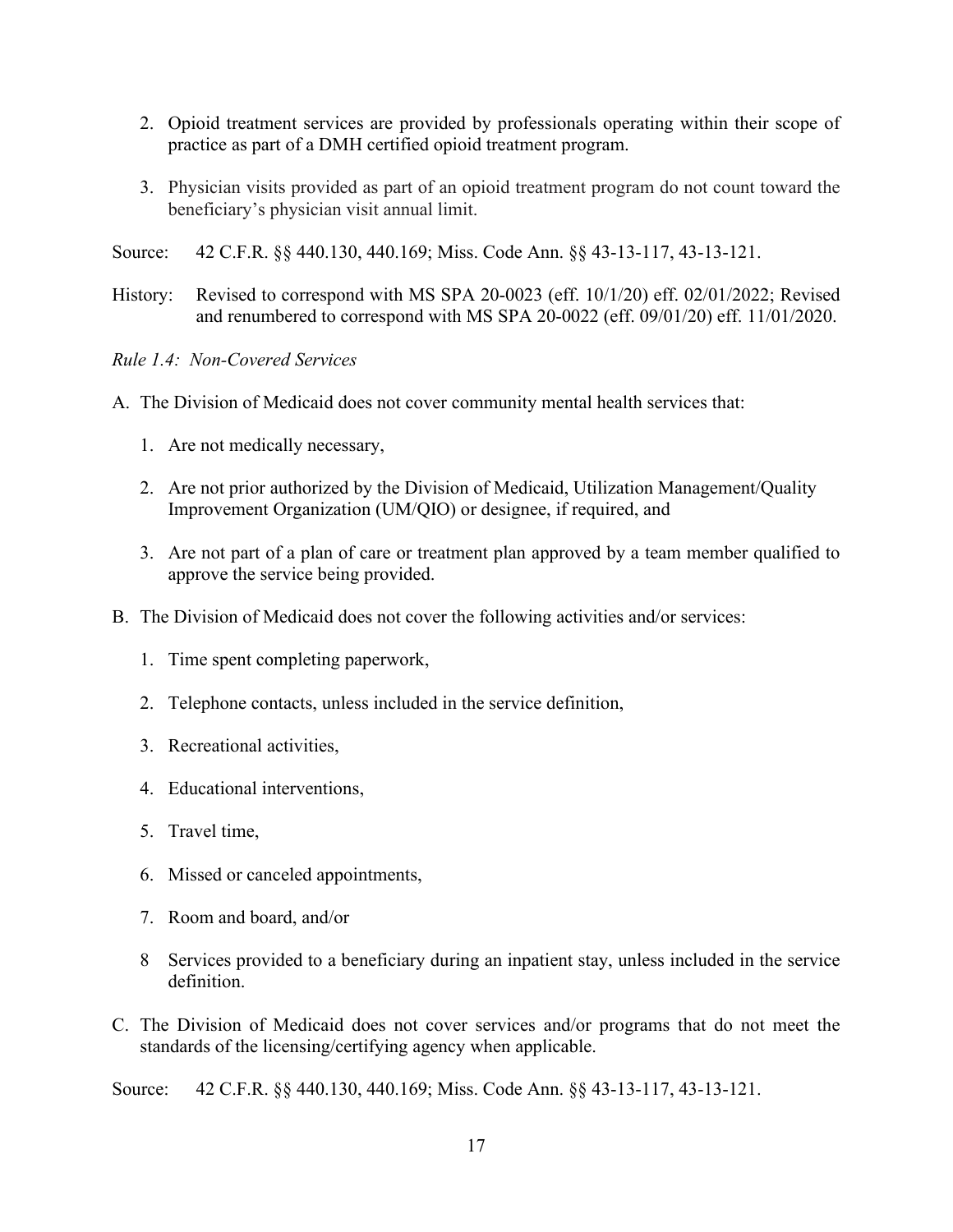- 2. Opioid treatment services are provided by professionals operating within their scope of practice as part of a DMH certified opioid treatment program.
- 3. Physician visits provided as part of an opioid treatment program do not count toward the beneficiary's physician visit annual limit.
- Source: 42 C.F.R. §§ 440.130, 440.169; Miss. Code Ann. §§ 43-13-117, 43-13-121.
- History: Revised to correspond with MS SPA 20-0023 (eff. 10/1/20) eff. 02/01/2022; Revised and renumbered to correspond with MS SPA 20-0022 (eff. 09/01/20) eff. 11/01/2020.

<span id="page-18-0"></span>*Rule 1.4: Non-Covered Services* 

- A. The Division of Medicaid does not cover community mental health services that:
	- 1. Are not medically necessary,
	- 2. Are not prior authorized by the Division of Medicaid, Utilization Management/Quality Improvement Organization (UM/QIO) or designee, if required, and
	- 3. Are not part of a plan of care or treatment plan approved by a team member qualified to approve the service being provided.
- B. The Division of Medicaid does not cover the following activities and/or services:
	- 1. Time spent completing paperwork,
	- 2. Telephone contacts, unless included in the service definition,
	- 3. Recreational activities,
	- 4. Educational interventions,
	- 5. Travel time,
	- 6. Missed or canceled appointments,
	- 7. Room and board, and/or
	- 8 Services provided to a beneficiary during an inpatient stay, unless included in the service definition.
- C. The Division of Medicaid does not cover services and/or programs that do not meet the standards of the licensing/certifying agency when applicable.

Source: 42 C.F.R. §§ 440.130, 440.169; Miss. Code Ann. §§ 43-13-117, 43-13-121.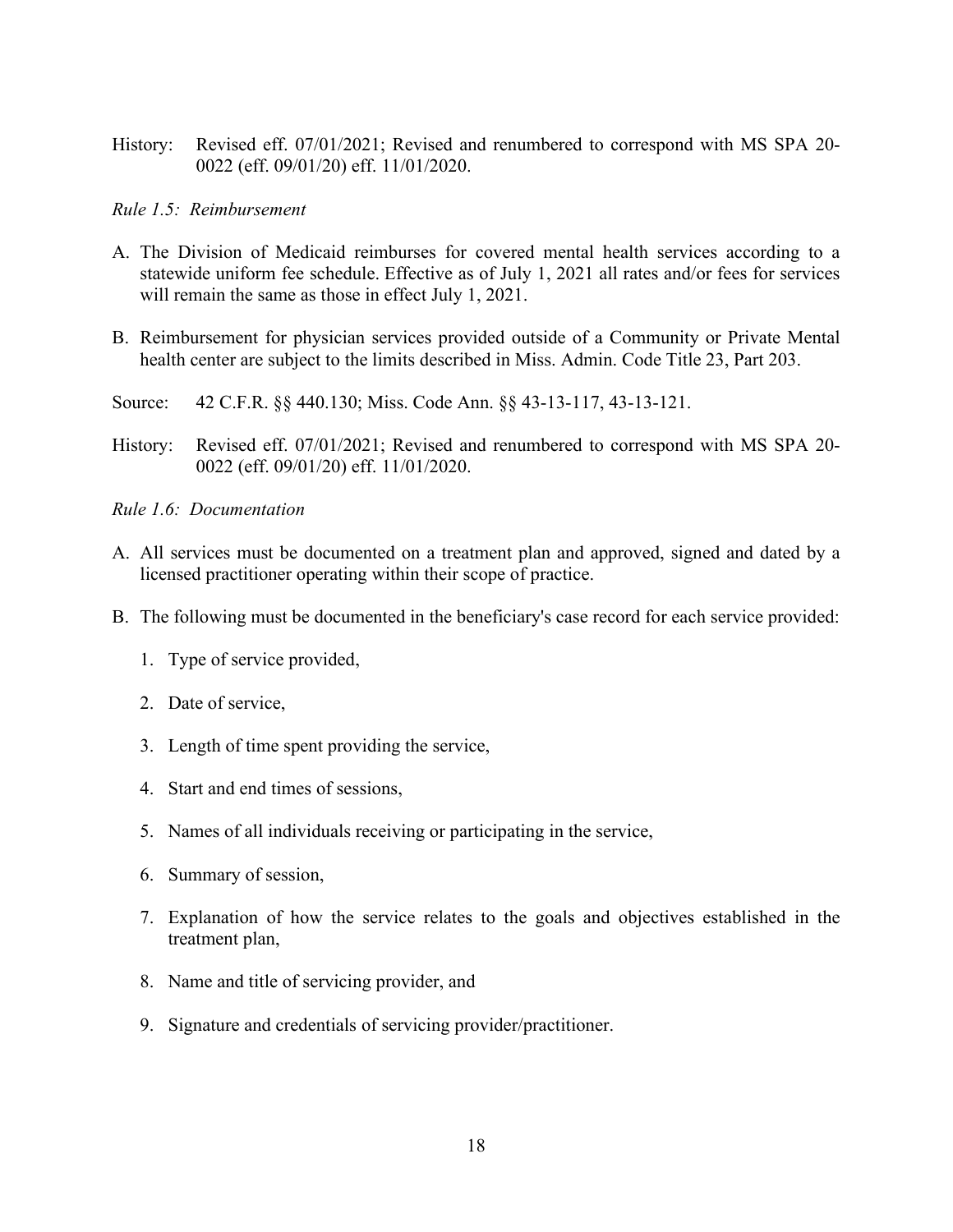History: Revised eff. 07/01/2021; Revised and renumbered to correspond with MS SPA 20- 0022 (eff. 09/01/20) eff. 11/01/2020.

#### <span id="page-19-0"></span>*Rule 1.5: Reimbursement*

- A. The Division of Medicaid reimburses for covered mental health services according to a statewide uniform fee schedule. Effective as of July 1, 2021 all rates and/or fees for services will remain the same as those in effect July 1, 2021.
- B. Reimbursement for physician services provided outside of a Community or Private Mental health center are subject to the limits described in Miss. Admin. Code Title 23, Part 203.
- Source: 42 C.F.R. §§ 440.130; Miss. Code Ann. §§ 43-13-117, 43-13-121.
- History: Revised eff. 07/01/2021; Revised and renumbered to correspond with MS SPA 20- 0022 (eff. 09/01/20) eff. 11/01/2020.
- <span id="page-19-1"></span>*Rule 1.6: Documentation*
- A. All services must be documented on a treatment plan and approved, signed and dated by a licensed practitioner operating within their scope of practice.
- B. The following must be documented in the beneficiary's case record for each service provided:
	- 1. Type of service provided,
	- 2. Date of service,
	- 3. Length of time spent providing the service,
	- 4. Start and end times of sessions,
	- 5. Names of all individuals receiving or participating in the service,
	- 6. Summary of session,
	- 7. Explanation of how the service relates to the goals and objectives established in the treatment plan,
	- 8. Name and title of servicing provider, and
	- 9. Signature and credentials of servicing provider/practitioner.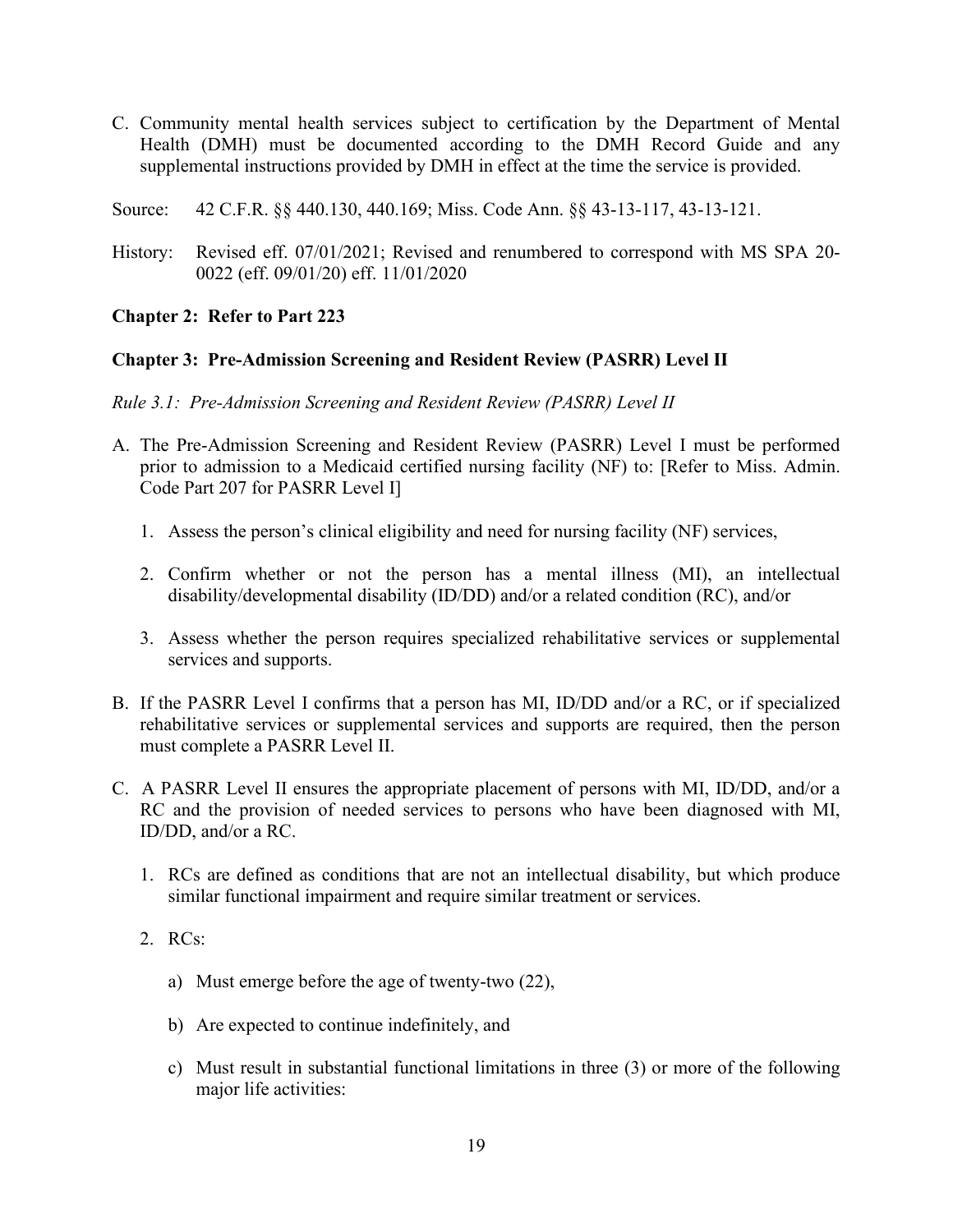- C. Community mental health services subject to certification by the Department of Mental Health (DMH) must be documented according to the DMH Record Guide and any supplemental instructions provided by DMH in effect at the time the service is provided.
- Source: 42 C.F.R. §§ 440.130, 440.169; Miss. Code Ann. §§ 43-13-117, 43-13-121.
- History: Revised eff. 07/01/2021; Revised and renumbered to correspond with MS SPA 20- 0022 (eff. 09/01/20) eff. 11/01/2020

#### <span id="page-20-0"></span>**Chapter 2: Refer to Part 223**

#### <span id="page-20-1"></span>**Chapter 3: Pre-Admission Screening and Resident Review (PASRR) Level II**

<span id="page-20-2"></span>*Rule 3.1: Pre-Admission Screening and Resident Review (PASRR) Level II*

- A. The Pre-Admission Screening and Resident Review (PASRR) Level I must be performed prior to admission to a Medicaid certified nursing facility (NF) to: [Refer to Miss. Admin. Code Part 207 for PASRR Level I]
	- 1. Assess the person's clinical eligibility and need for nursing facility (NF) services,
	- 2. Confirm whether or not the person has a mental illness (MI), an intellectual disability/developmental disability (ID/DD) and/or a related condition (RC), and/or
	- 3. Assess whether the person requires specialized rehabilitative services or supplemental services and supports.
- B. If the PASRR Level I confirms that a person has MI, ID/DD and/or a RC, or if specialized rehabilitative services or supplemental services and supports are required, then the person must complete a PASRR Level II.
- C. A PASRR Level II ensures the appropriate placement of persons with MI, ID/DD, and/or a RC and the provision of needed services to persons who have been diagnosed with MI, ID/DD, and/or a RC.
	- 1. RCs are defined as conditions that are not an intellectual disability, but which produce similar functional impairment and require similar treatment or services.
	- 2. RCs:
		- a) Must emerge before the age of twenty-two (22),
		- b) Are expected to continue indefinitely, and
		- c) Must result in substantial functional limitations in three (3) or more of the following major life activities: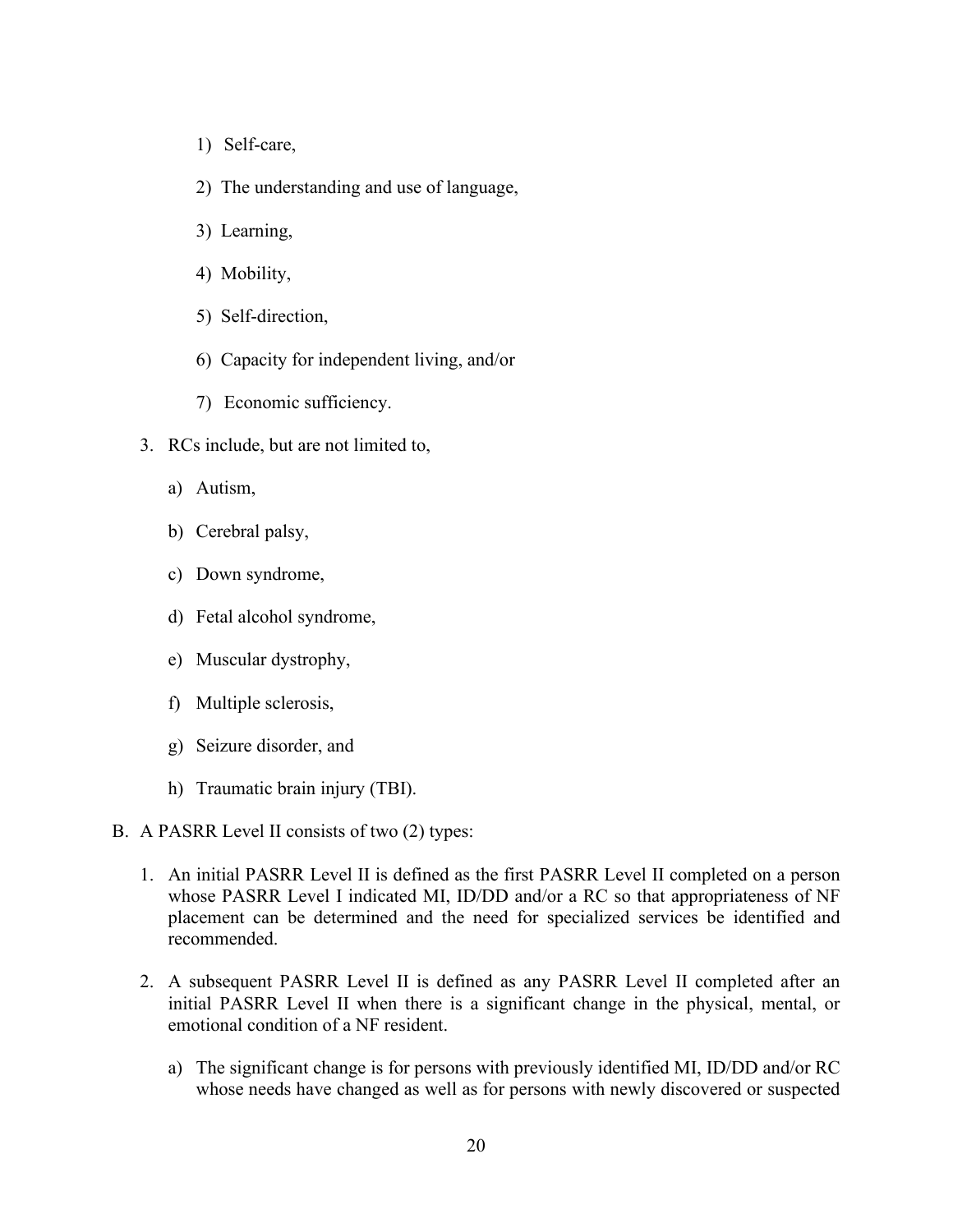- 1) Self-care,
- 2) The understanding and use of language,
- 3) Learning,
- 4) Mobility,
- 5) Self-direction,
- 6) Capacity for independent living, and/or
- 7) Economic sufficiency.
- 3. RCs include, but are not limited to,
	- a) Autism,
	- b) Cerebral palsy,
	- c) Down syndrome,
	- d) Fetal alcohol syndrome,
	- e) Muscular dystrophy,
	- f) Multiple sclerosis,
	- g) Seizure disorder, and
	- h) Traumatic brain injury (TBI).
- B. A PASRR Level II consists of two (2) types:
	- 1. An initial PASRR Level II is defined as the first PASRR Level II completed on a person whose PASRR Level I indicated MI, ID/DD and/or a RC so that appropriateness of NF placement can be determined and the need for specialized services be identified and recommended.
	- 2. A subsequent PASRR Level II is defined as any PASRR Level II completed after an initial PASRR Level II when there is a significant change in the physical, mental, or emotional condition of a NF resident.
		- a) The significant change is for persons with previously identified MI, ID/DD and/or RC whose needs have changed as well as for persons with newly discovered or suspected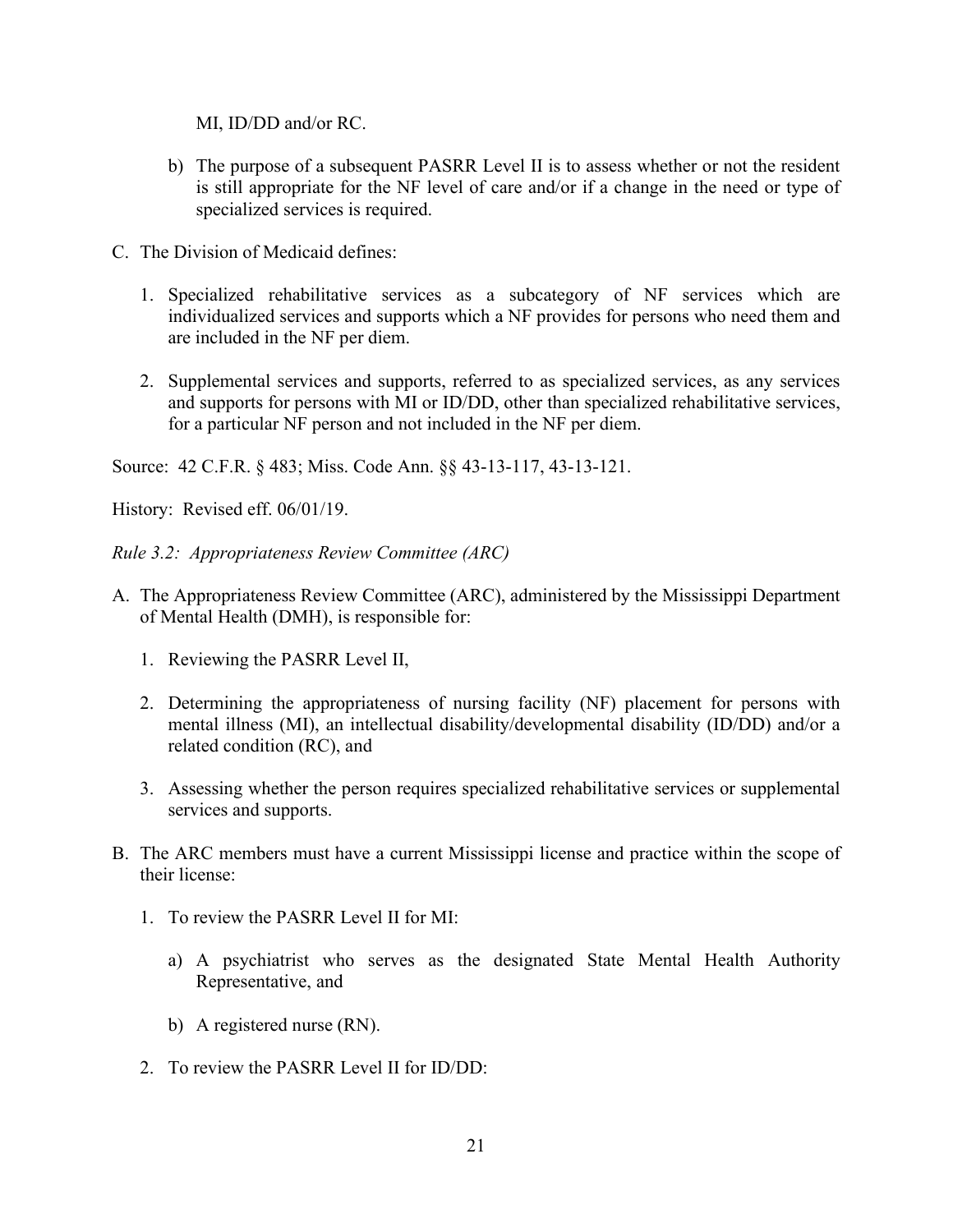MI, ID/DD and/or RC.

- b) The purpose of a subsequent PASRR Level II is to assess whether or not the resident is still appropriate for the NF level of care and/or if a change in the need or type of specialized services is required.
- C. The Division of Medicaid defines:
	- 1. Specialized rehabilitative services as a subcategory of NF services which are individualized services and supports which a NF provides for persons who need them and are included in the NF per diem.
	- 2. Supplemental services and supports, referred to as specialized services, as any services and supports for persons with MI or ID/DD, other than specialized rehabilitative services, for a particular NF person and not included in the NF per diem.

Source: 42 C.F.R. § 483; Miss. Code Ann. §§ 43-13-117, 43-13-121.

History: Revised eff. 06/01/19.

<span id="page-22-0"></span>*Rule 3.2: Appropriateness Review Committee (ARC)*

- A. The Appropriateness Review Committee (ARC), administered by the Mississippi Department of Mental Health (DMH), is responsible for:
	- 1. Reviewing the PASRR Level II,
	- 2. Determining the appropriateness of nursing facility (NF) placement for persons with mental illness (MI), an intellectual disability/developmental disability (ID/DD) and/or a related condition (RC), and
	- 3. Assessing whether the person requires specialized rehabilitative services or supplemental services and supports.
- B. The ARC members must have a current Mississippi license and practice within the scope of their license:
	- 1. To review the PASRR Level II for MI:
		- a) A psychiatrist who serves as the designated State Mental Health Authority Representative, and
		- b) A registered nurse (RN).
	- 2. To review the PASRR Level II for ID/DD: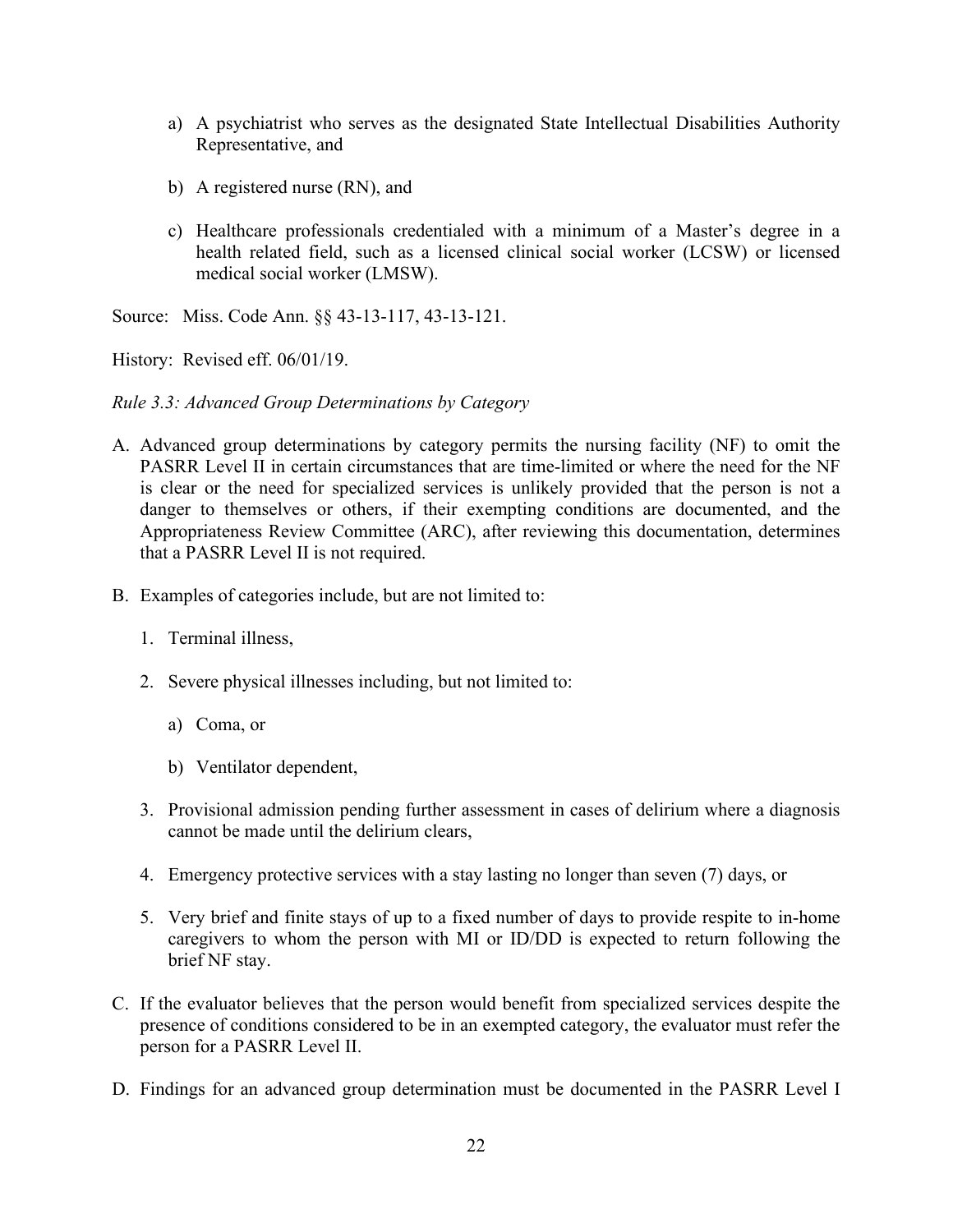- a) A psychiatrist who serves as the designated State Intellectual Disabilities Authority Representative, and
- b) A registered nurse (RN), and
- c) Healthcare professionals credentialed with a minimum of a Master's degree in a health related field, such as a licensed clinical social worker (LCSW) or licensed medical social worker (LMSW).

Source: Miss. Code Ann. §§ 43-13-117, 43-13-121.

History: Revised eff. 06/01/19.

## <span id="page-23-0"></span>*Rule 3.3: Advanced Group Determinations by Category*

- A. Advanced group determinations by category permits the nursing facility (NF) to omit the PASRR Level II in certain circumstances that are time-limited or where the need for the NF is clear or the need for specialized services is unlikely provided that the person is not a danger to themselves or others, if their exempting conditions are documented, and the Appropriateness Review Committee (ARC), after reviewing this documentation, determines that a PASRR Level II is not required.
- B. Examples of categories include, but are not limited to:
	- 1. Terminal illness,
	- 2. Severe physical illnesses including, but not limited to:
		- a) Coma, or
		- b) Ventilator dependent,
	- 3. Provisional admission pending further assessment in cases of delirium where a diagnosis cannot be made until the delirium clears,
	- 4. Emergency protective services with a stay lasting no longer than seven (7) days, or
	- 5. Very brief and finite stays of up to a fixed number of days to provide respite to in-home caregivers to whom the person with MI or ID/DD is expected to return following the brief NF stay.
- C. If the evaluator believes that the person would benefit from specialized services despite the presence of conditions considered to be in an exempted category, the evaluator must refer the person for a PASRR Level II.
- D. Findings for an advanced group determination must be documented in the PASRR Level I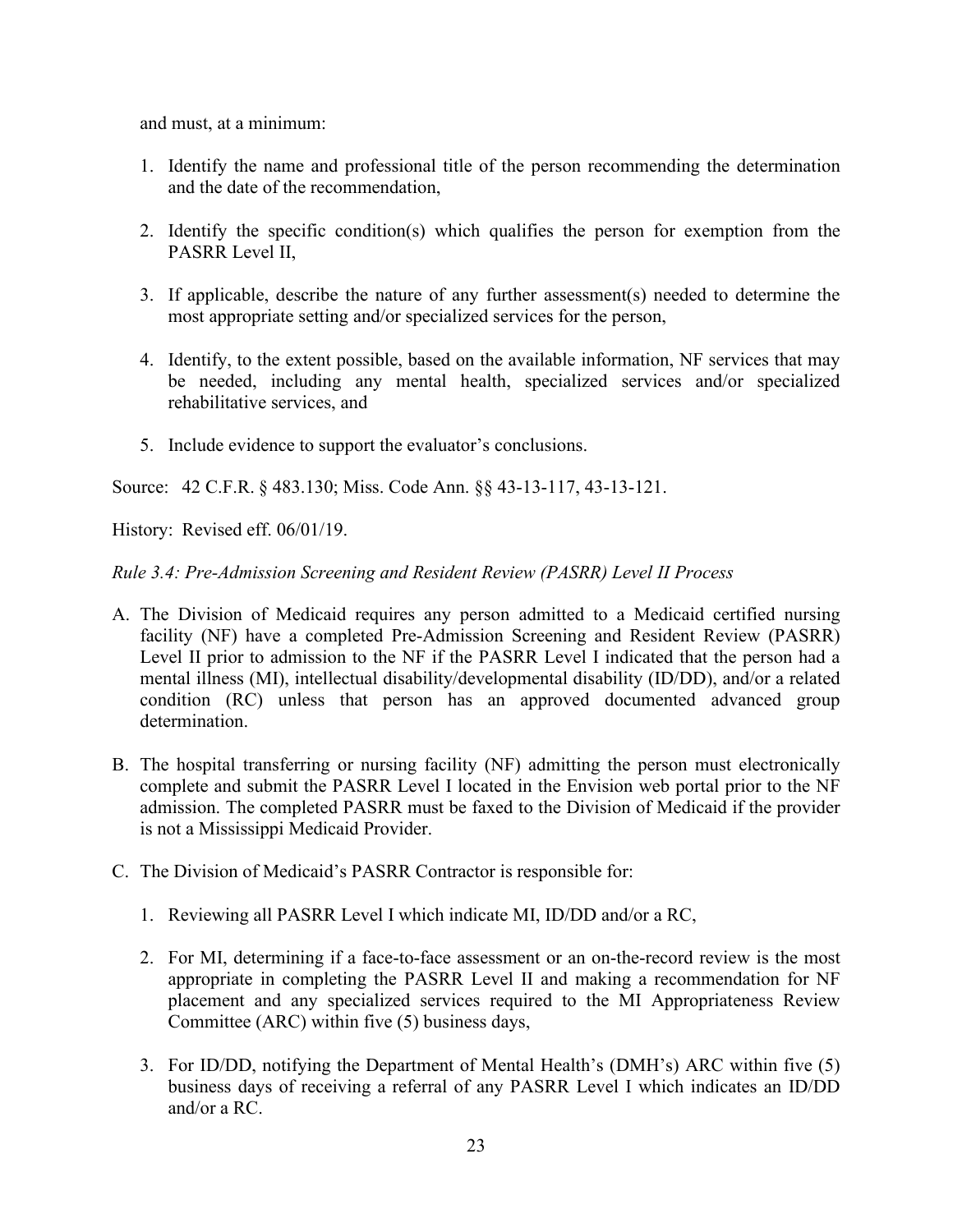and must, at a minimum:

- 1. Identify the name and professional title of the person recommending the determination and the date of the recommendation,
- 2. Identify the specific condition(s) which qualifies the person for exemption from the PASRR Level II,
- 3. If applicable, describe the nature of any further assessment(s) needed to determine the most appropriate setting and/or specialized services for the person,
- 4. Identify, to the extent possible, based on the available information, NF services that may be needed, including any mental health, specialized services and/or specialized rehabilitative services, and
- 5. Include evidence to support the evaluator's conclusions.

Source: 42 C.F.R. § 483.130; Miss. Code Ann. §§ 43-13-117, 43-13-121.

History: Revised eff. 06/01/19.

<span id="page-24-0"></span>*Rule 3.4: Pre-Admission Screening and Resident Review (PASRR) Level II Process*

- A. The Division of Medicaid requires any person admitted to a Medicaid certified nursing facility (NF) have a completed Pre-Admission Screening and Resident Review (PASRR) Level II prior to admission to the NF if the PASRR Level I indicated that the person had a mental illness (MI), intellectual disability/developmental disability (ID/DD), and/or a related condition (RC) unless that person has an approved documented advanced group determination.
- B. The hospital transferring or nursing facility (NF) admitting the person must electronically complete and submit the PASRR Level I located in the Envision web portal prior to the NF admission. The completed PASRR must be faxed to the Division of Medicaid if the provider is not a Mississippi Medicaid Provider.
- C. The Division of Medicaid's PASRR Contractor is responsible for:
	- 1. Reviewing all PASRR Level I which indicate MI, ID/DD and/or a RC,
	- 2. For MI, determining if a face-to-face assessment or an on-the-record review is the most appropriate in completing the PASRR Level II and making a recommendation for NF placement and any specialized services required to the MI Appropriateness Review Committee (ARC) within five (5) business days,
	- 3. For ID/DD, notifying the Department of Mental Health's (DMH's) ARC within five (5) business days of receiving a referral of any PASRR Level I which indicates an ID/DD and/or a RC.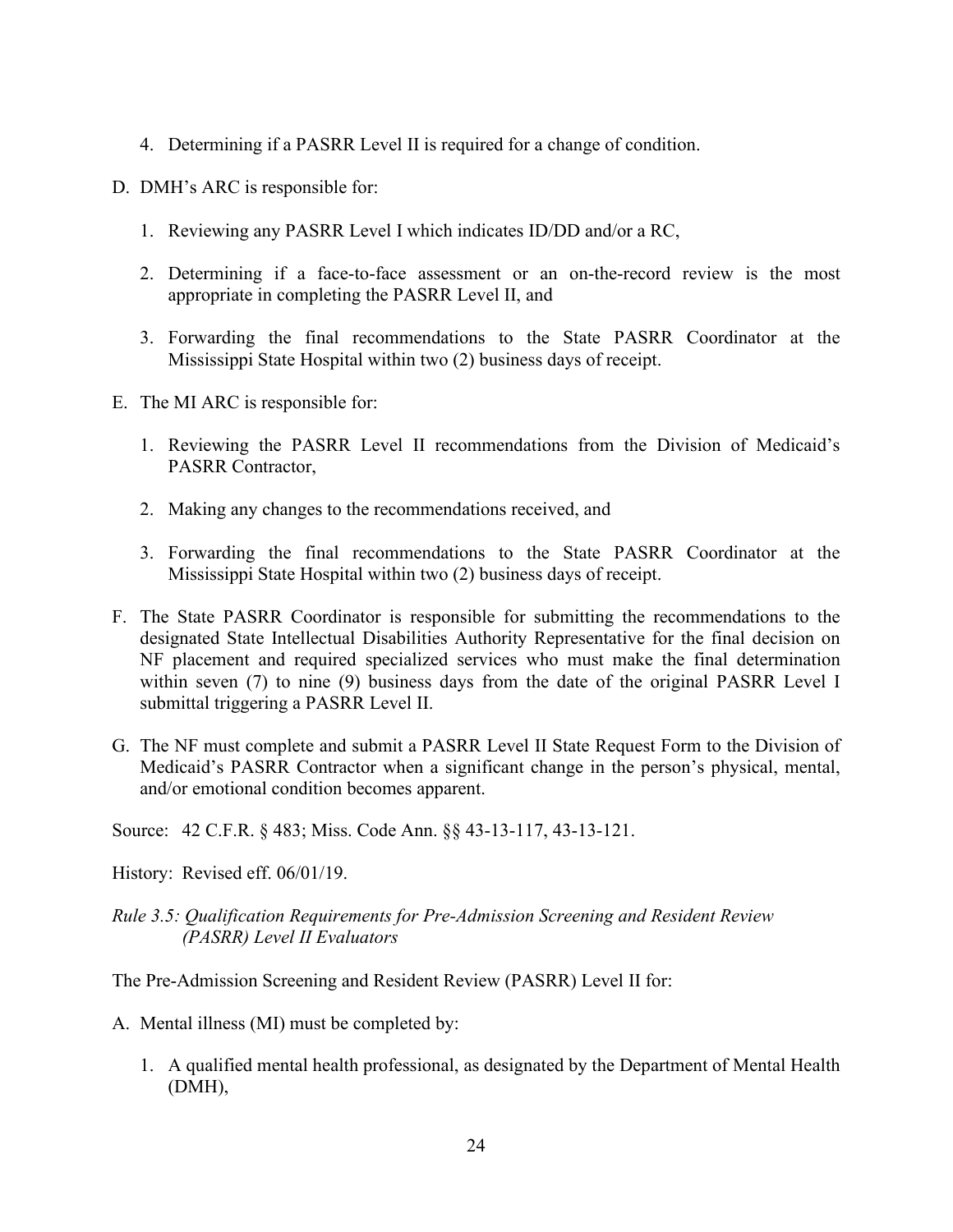- 4. Determining if a PASRR Level II is required for a change of condition.
- D. DMH's ARC is responsible for:
	- 1. Reviewing any PASRR Level I which indicates ID/DD and/or a RC,
	- 2. Determining if a face-to-face assessment or an on-the-record review is the most appropriate in completing the PASRR Level II, and
	- 3. Forwarding the final recommendations to the State PASRR Coordinator at the Mississippi State Hospital within two (2) business days of receipt.
- E. The MI ARC is responsible for:
	- 1. Reviewing the PASRR Level II recommendations from the Division of Medicaid's PASRR Contractor,
	- 2. Making any changes to the recommendations received, and
	- 3. Forwarding the final recommendations to the State PASRR Coordinator at the Mississippi State Hospital within two (2) business days of receipt.
- F. The State PASRR Coordinator is responsible for submitting the recommendations to the designated State Intellectual Disabilities Authority Representative for the final decision on NF placement and required specialized services who must make the final determination within seven (7) to nine (9) business days from the date of the original PASRR Level I submittal triggering a PASRR Level II.
- G. The NF must complete and submit a PASRR Level II State Request Form to the Division of Medicaid's PASRR Contractor when a significant change in the person's physical, mental, and/or emotional condition becomes apparent.

Source: 42 C.F.R. § 483; Miss. Code Ann. §§ 43-13-117, 43-13-121.

History: Revised eff. 06/01/19.

## <span id="page-25-0"></span>*Rule 3.5: Qualification Requirements for Pre-Admission Screening and Resident Review (PASRR) Level II Evaluators*

The Pre-Admission Screening and Resident Review (PASRR) Level II for:

- A. Mental illness (MI) must be completed by:
	- 1. A qualified mental health professional, as designated by the Department of Mental Health (DMH),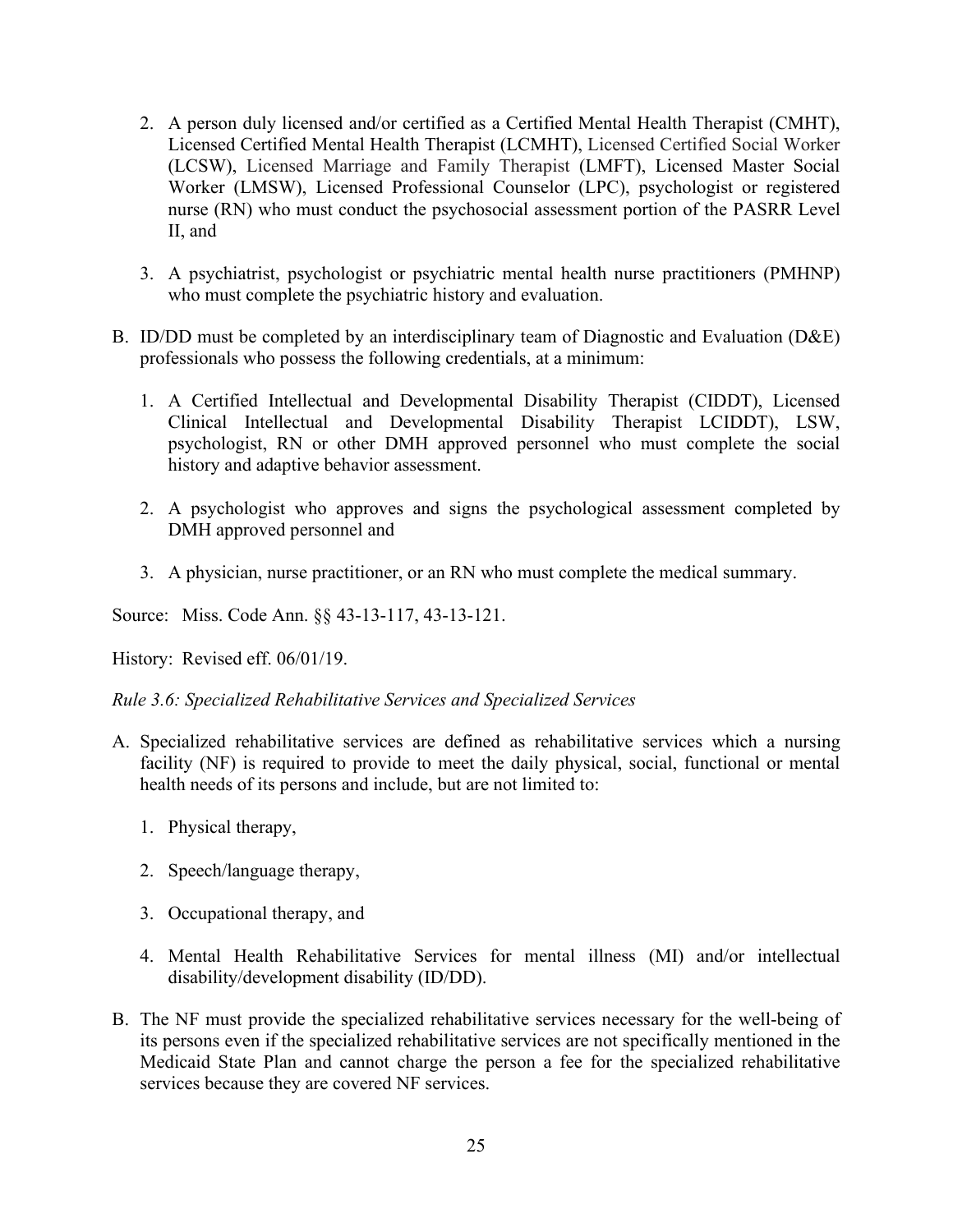- 2. A person duly licensed and/or certified as a Certified Mental Health Therapist (CMHT), Licensed Certified Mental Health Therapist (LCMHT), Licensed Certified Social Worker (LCSW), Licensed Marriage and Family Therapist (LMFT), Licensed Master Social Worker (LMSW), Licensed Professional Counselor (LPC), psychologist or registered nurse (RN) who must conduct the psychosocial assessment portion of the PASRR Level II, and
- 3. A psychiatrist, psychologist or psychiatric mental health nurse practitioners (PMHNP) who must complete the psychiatric history and evaluation.
- B. ID/DD must be completed by an interdisciplinary team of Diagnostic and Evaluation (D&E) professionals who possess the following credentials, at a minimum:
	- 1. A Certified Intellectual and Developmental Disability Therapist (CIDDT), Licensed Clinical Intellectual and Developmental Disability Therapist LCIDDT), LSW, psychologist, RN or other DMH approved personnel who must complete the social history and adaptive behavior assessment.
	- 2. A psychologist who approves and signs the psychological assessment completed by DMH approved personnel and
	- 3. A physician, nurse practitioner, or an RN who must complete the medical summary.

Source: Miss. Code Ann. §§ 43-13-117, 43-13-121.

History: Revised eff. 06/01/19.

<span id="page-26-0"></span>*Rule 3.6: Specialized Rehabilitative Services and Specialized Services*

- A. Specialized rehabilitative services are defined as rehabilitative services which a nursing facility (NF) is required to provide to meet the daily physical, social, functional or mental health needs of its persons and include, but are not limited to:
	- 1. Physical therapy,
	- 2. Speech/language therapy,
	- 3. Occupational therapy, and
	- 4. Mental Health Rehabilitative Services for mental illness (MI) and/or intellectual disability/development disability (ID/DD).
- B. The NF must provide the specialized rehabilitative services necessary for the well-being of its persons even if the specialized rehabilitative services are not specifically mentioned in the Medicaid State Plan and cannot charge the person a fee for the specialized rehabilitative services because they are covered NF services.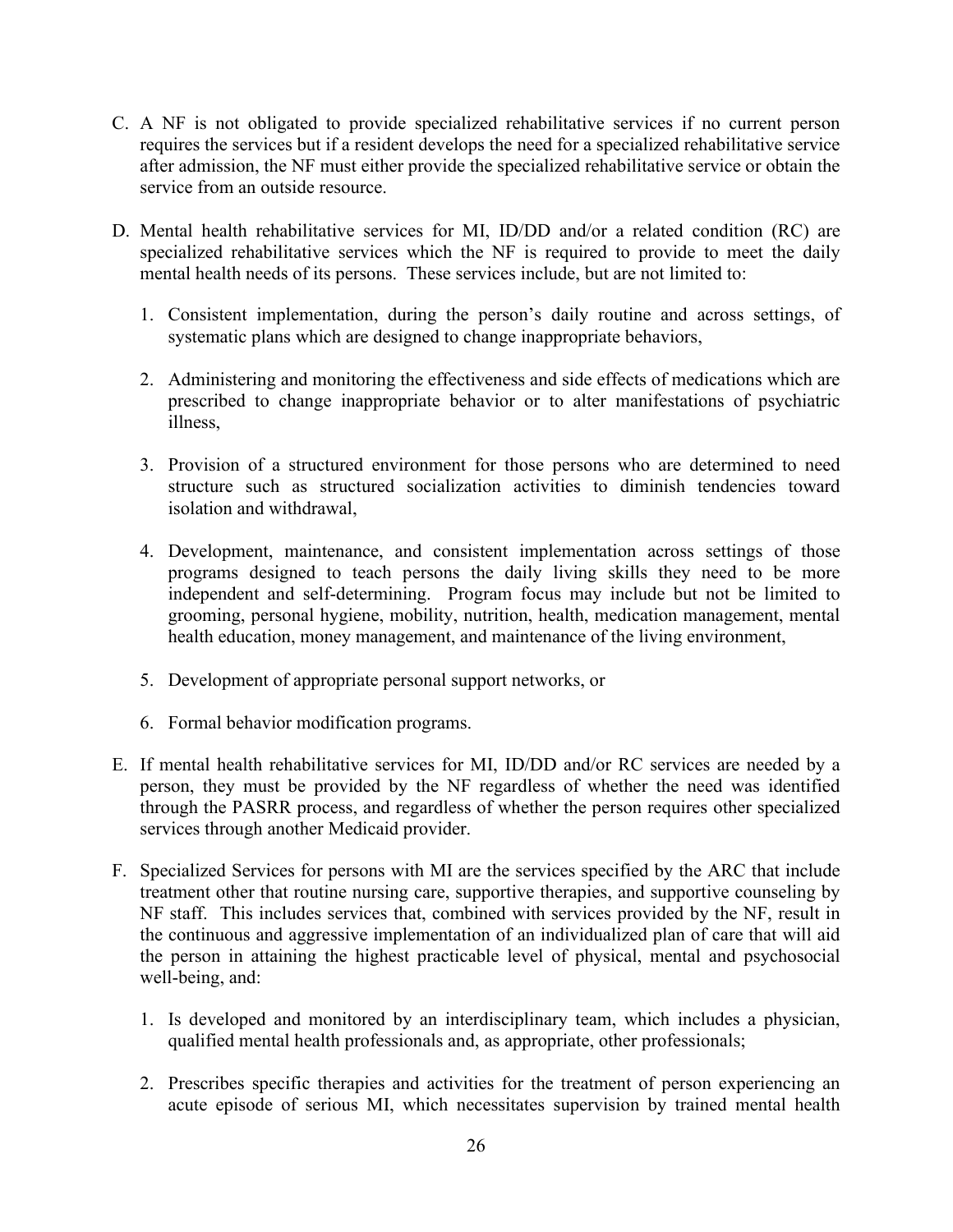- C. A NF is not obligated to provide specialized rehabilitative services if no current person requires the services but if a resident develops the need for a specialized rehabilitative service after admission, the NF must either provide the specialized rehabilitative service or obtain the service from an outside resource.
- D. Mental health rehabilitative services for MI, ID/DD and/or a related condition (RC) are specialized rehabilitative services which the NF is required to provide to meet the daily mental health needs of its persons. These services include, but are not limited to:
	- 1. Consistent implementation, during the person's daily routine and across settings, of systematic plans which are designed to change inappropriate behaviors,
	- 2. Administering and monitoring the effectiveness and side effects of medications which are prescribed to change inappropriate behavior or to alter manifestations of psychiatric illness,
	- 3. Provision of a structured environment for those persons who are determined to need structure such as structured socialization activities to diminish tendencies toward isolation and withdrawal,
	- 4. Development, maintenance, and consistent implementation across settings of those programs designed to teach persons the daily living skills they need to be more independent and self-determining. Program focus may include but not be limited to grooming, personal hygiene, mobility, nutrition, health, medication management, mental health education, money management, and maintenance of the living environment,
	- 5. Development of appropriate personal support networks, or
	- 6. Formal behavior modification programs.
- E. If mental health rehabilitative services for MI, ID/DD and/or RC services are needed by a person, they must be provided by the NF regardless of whether the need was identified through the PASRR process, and regardless of whether the person requires other specialized services through another Medicaid provider.
- F. Specialized Services for persons with MI are the services specified by the ARC that include treatment other that routine nursing care, supportive therapies, and supportive counseling by NF staff. This includes services that, combined with services provided by the NF, result in the continuous and aggressive implementation of an individualized plan of care that will aid the person in attaining the highest practicable level of physical, mental and psychosocial well-being, and:
	- 1. Is developed and monitored by an interdisciplinary team, which includes a physician, qualified mental health professionals and, as appropriate, other professionals;
	- 2. Prescribes specific therapies and activities for the treatment of person experiencing an acute episode of serious MI, which necessitates supervision by trained mental health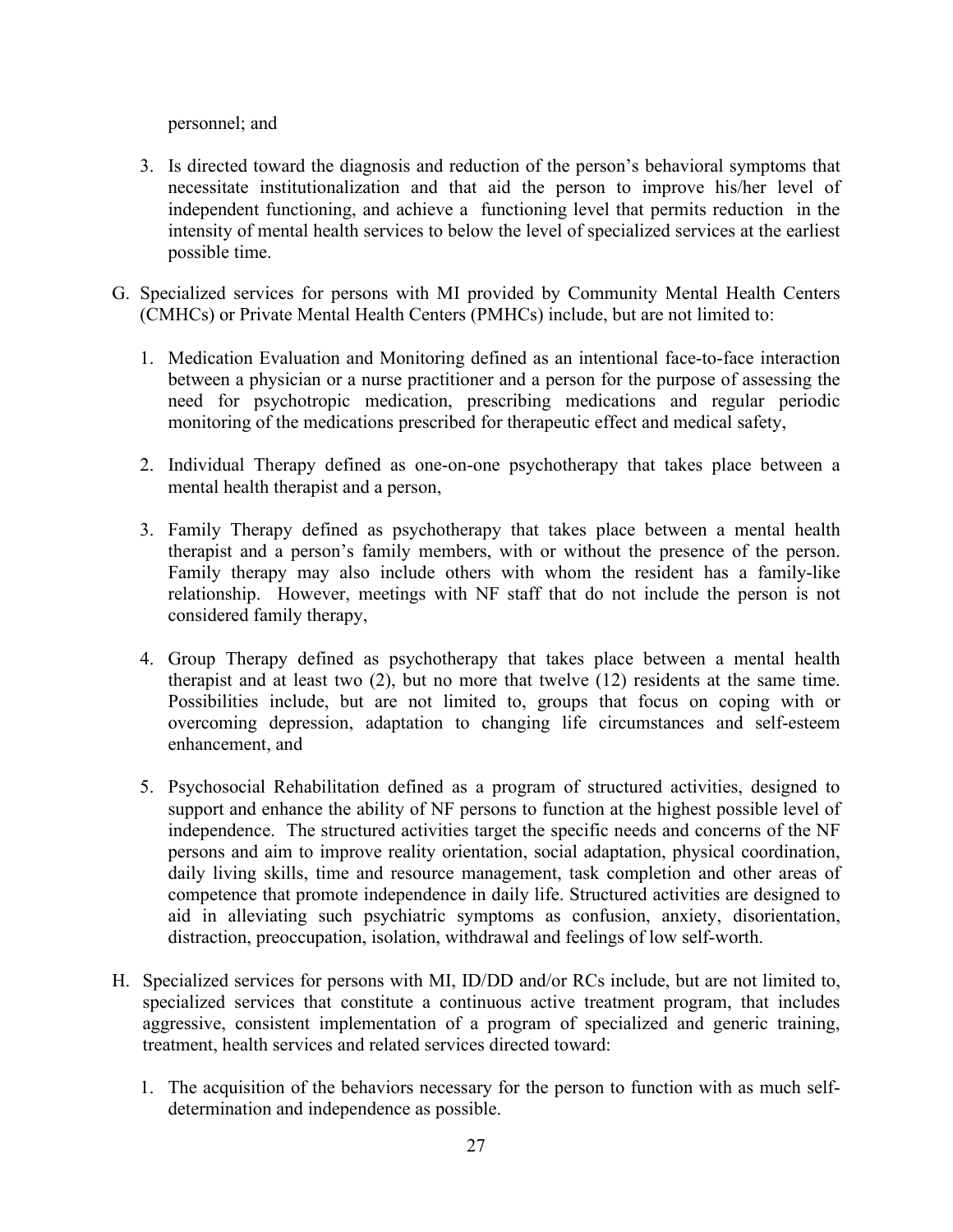personnel; and

- 3. Is directed toward the diagnosis and reduction of the person's behavioral symptoms that necessitate institutionalization and that aid the person to improve his/her level of independent functioning, and achieve a functioning level that permits reduction in the intensity of mental health services to below the level of specialized services at the earliest possible time.
- G. Specialized services for persons with MI provided by Community Mental Health Centers (CMHCs) or Private Mental Health Centers (PMHCs) include, but are not limited to:
	- 1. Medication Evaluation and Monitoring defined as an intentional face-to-face interaction between a physician or a nurse practitioner and a person for the purpose of assessing the need for psychotropic medication, prescribing medications and regular periodic monitoring of the medications prescribed for therapeutic effect and medical safety,
	- 2. Individual Therapy defined as one-on-one psychotherapy that takes place between a mental health therapist and a person,
	- 3. Family Therapy defined as psychotherapy that takes place between a mental health therapist and a person's family members, with or without the presence of the person. Family therapy may also include others with whom the resident has a family-like relationship. However, meetings with NF staff that do not include the person is not considered family therapy,
	- 4. Group Therapy defined as psychotherapy that takes place between a mental health therapist and at least two (2), but no more that twelve (12) residents at the same time. Possibilities include, but are not limited to, groups that focus on coping with or overcoming depression, adaptation to changing life circumstances and self-esteem enhancement, and
	- 5. Psychosocial Rehabilitation defined as a program of structured activities, designed to support and enhance the ability of NF persons to function at the highest possible level of independence. The structured activities target the specific needs and concerns of the NF persons and aim to improve reality orientation, social adaptation, physical coordination, daily living skills, time and resource management, task completion and other areas of competence that promote independence in daily life. Structured activities are designed to aid in alleviating such psychiatric symptoms as confusion, anxiety, disorientation, distraction, preoccupation, isolation, withdrawal and feelings of low self-worth.
- H. Specialized services for persons with MI, ID/DD and/or RCs include, but are not limited to, specialized services that constitute a continuous active treatment program, that includes aggressive, consistent implementation of a program of specialized and generic training, treatment, health services and related services directed toward:
	- 1. The acquisition of the behaviors necessary for the person to function with as much selfdetermination and independence as possible.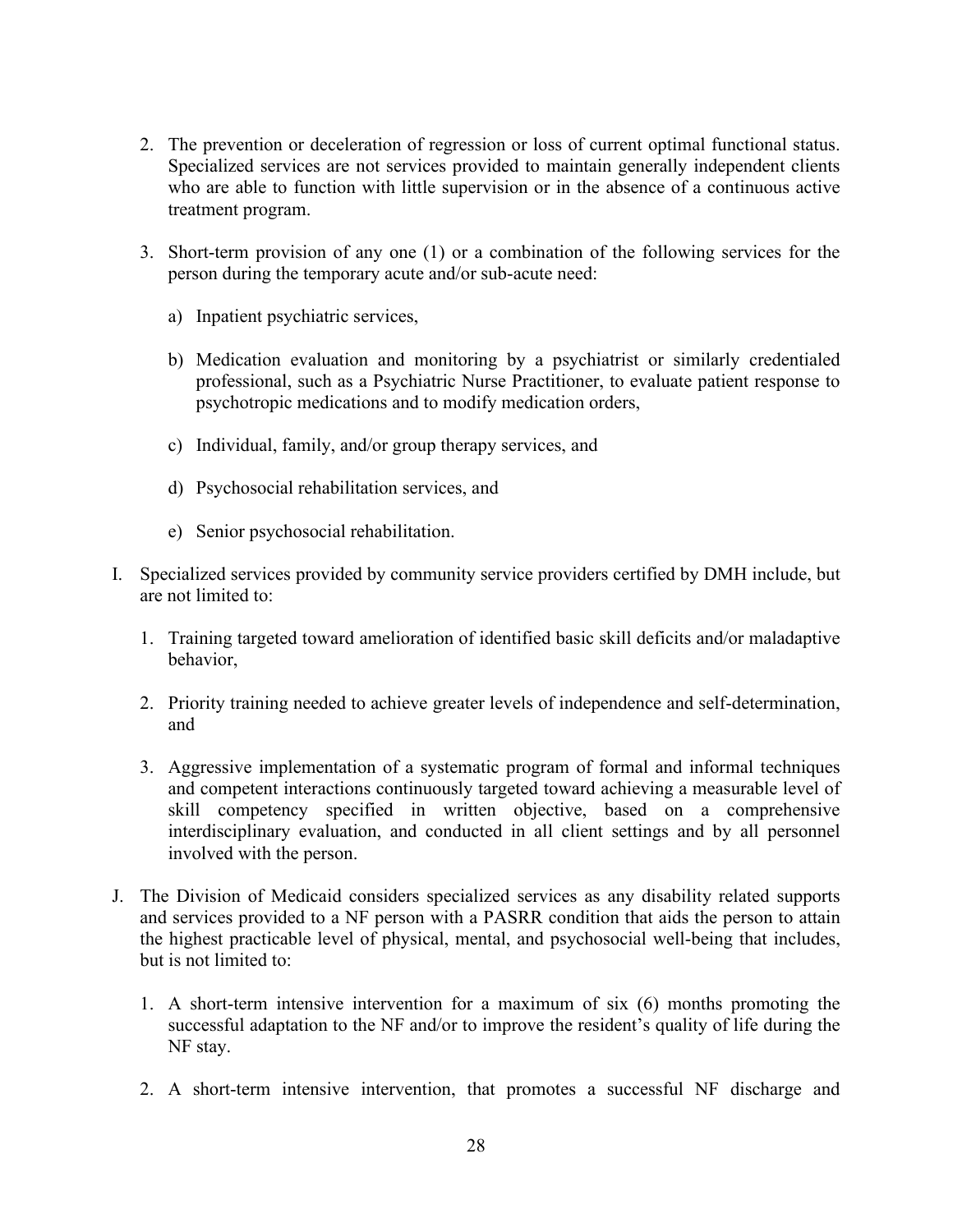- 2. The prevention or deceleration of regression or loss of current optimal functional status. Specialized services are not services provided to maintain generally independent clients who are able to function with little supervision or in the absence of a continuous active treatment program.
- 3. Short-term provision of any one (1) or a combination of the following services for the person during the temporary acute and/or sub-acute need:
	- a) Inpatient psychiatric services,
	- b) Medication evaluation and monitoring by a psychiatrist or similarly credentialed professional, such as a Psychiatric Nurse Practitioner, to evaluate patient response to psychotropic medications and to modify medication orders,
	- c) Individual, family, and/or group therapy services, and
	- d) Psychosocial rehabilitation services, and
	- e) Senior psychosocial rehabilitation.
- I. Specialized services provided by community service providers certified by DMH include, but are not limited to:
	- 1. Training targeted toward amelioration of identified basic skill deficits and/or maladaptive behavior,
	- 2. Priority training needed to achieve greater levels of independence and self-determination, and
	- 3. Aggressive implementation of a systematic program of formal and informal techniques and competent interactions continuously targeted toward achieving a measurable level of skill competency specified in written objective, based on a comprehensive interdisciplinary evaluation, and conducted in all client settings and by all personnel involved with the person.
- J. The Division of Medicaid considers specialized services as any disability related supports and services provided to a NF person with a PASRR condition that aids the person to attain the highest practicable level of physical, mental, and psychosocial well-being that includes, but is not limited to:
	- 1. A short-term intensive intervention for a maximum of six (6) months promoting the successful adaptation to the NF and/or to improve the resident's quality of life during the NF stay.
	- 2. A short-term intensive intervention, that promotes a successful NF discharge and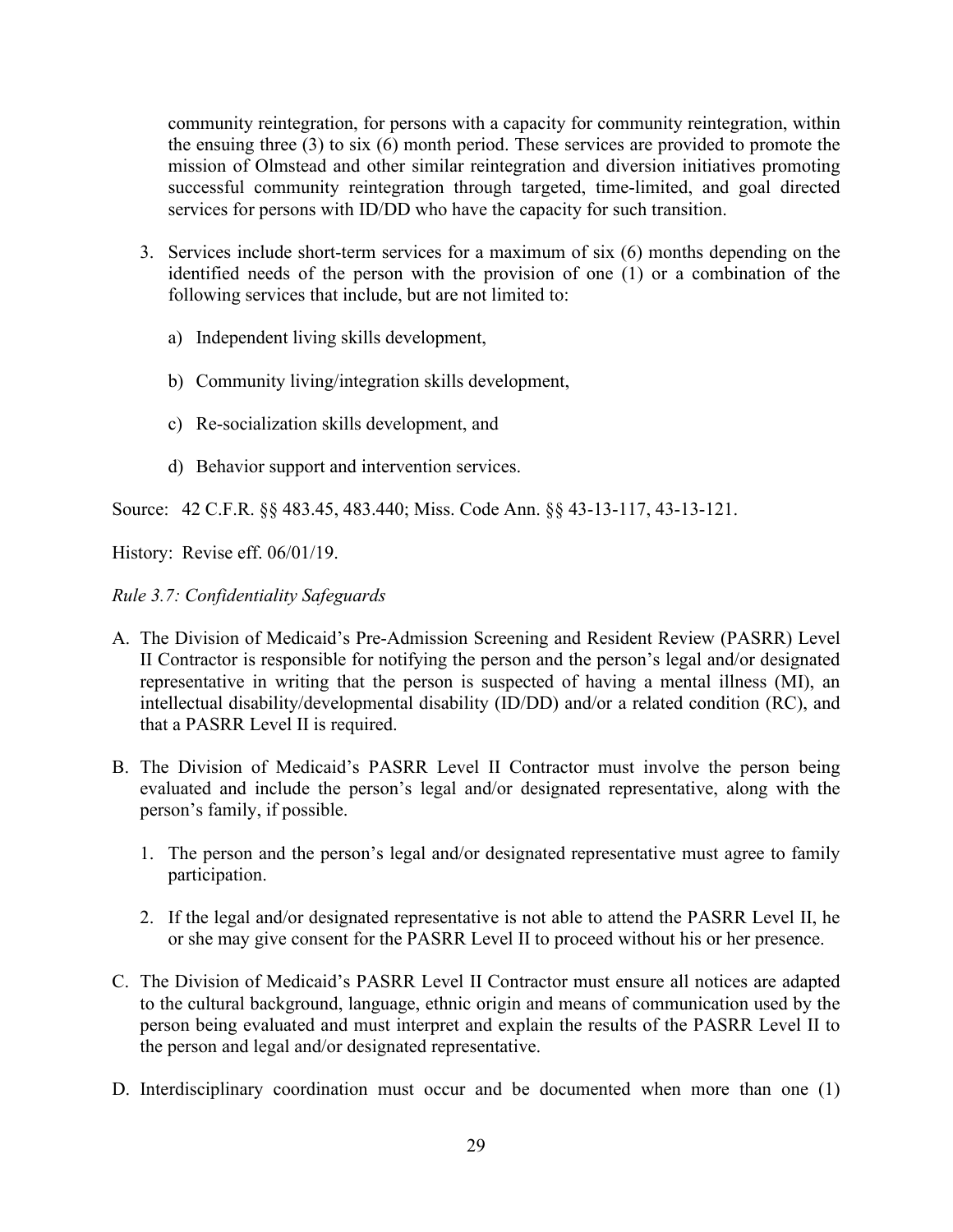community reintegration, for persons with a capacity for community reintegration, within the ensuing three (3) to six (6) month period. These services are provided to promote the mission of Olmstead and other similar reintegration and diversion initiatives promoting successful community reintegration through targeted, time-limited, and goal directed services for persons with ID/DD who have the capacity for such transition.

- 3. Services include short-term services for a maximum of six (6) months depending on the identified needs of the person with the provision of one (1) or a combination of the following services that include, but are not limited to:
	- a) Independent living skills development,
	- b) Community living/integration skills development,
	- c) Re-socialization skills development, and
	- d) Behavior support and intervention services.

Source: 42 C.F.R. §§ 483.45, 483.440; Miss. Code Ann. §§ 43-13-117, 43-13-121.

History: Revise eff. 06/01/19.

#### <span id="page-30-0"></span>*Rule 3.7: Confidentiality Safeguards*

- A. The Division of Medicaid's Pre-Admission Screening and Resident Review (PASRR) Level II Contractor is responsible for notifying the person and the person's legal and/or designated representative in writing that the person is suspected of having a mental illness (MI), an intellectual disability/developmental disability (ID/DD) and/or a related condition (RC), and that a PASRR Level II is required.
- B. The Division of Medicaid's PASRR Level II Contractor must involve the person being evaluated and include the person's legal and/or designated representative, along with the person's family, if possible.
	- 1. The person and the person's legal and/or designated representative must agree to family participation.
	- 2. If the legal and/or designated representative is not able to attend the PASRR Level II, he or she may give consent for the PASRR Level II to proceed without his or her presence.
- C. The Division of Medicaid's PASRR Level II Contractor must ensure all notices are adapted to the cultural background, language, ethnic origin and means of communication used by the person being evaluated and must interpret and explain the results of the PASRR Level II to the person and legal and/or designated representative.
- D. Interdisciplinary coordination must occur and be documented when more than one (1)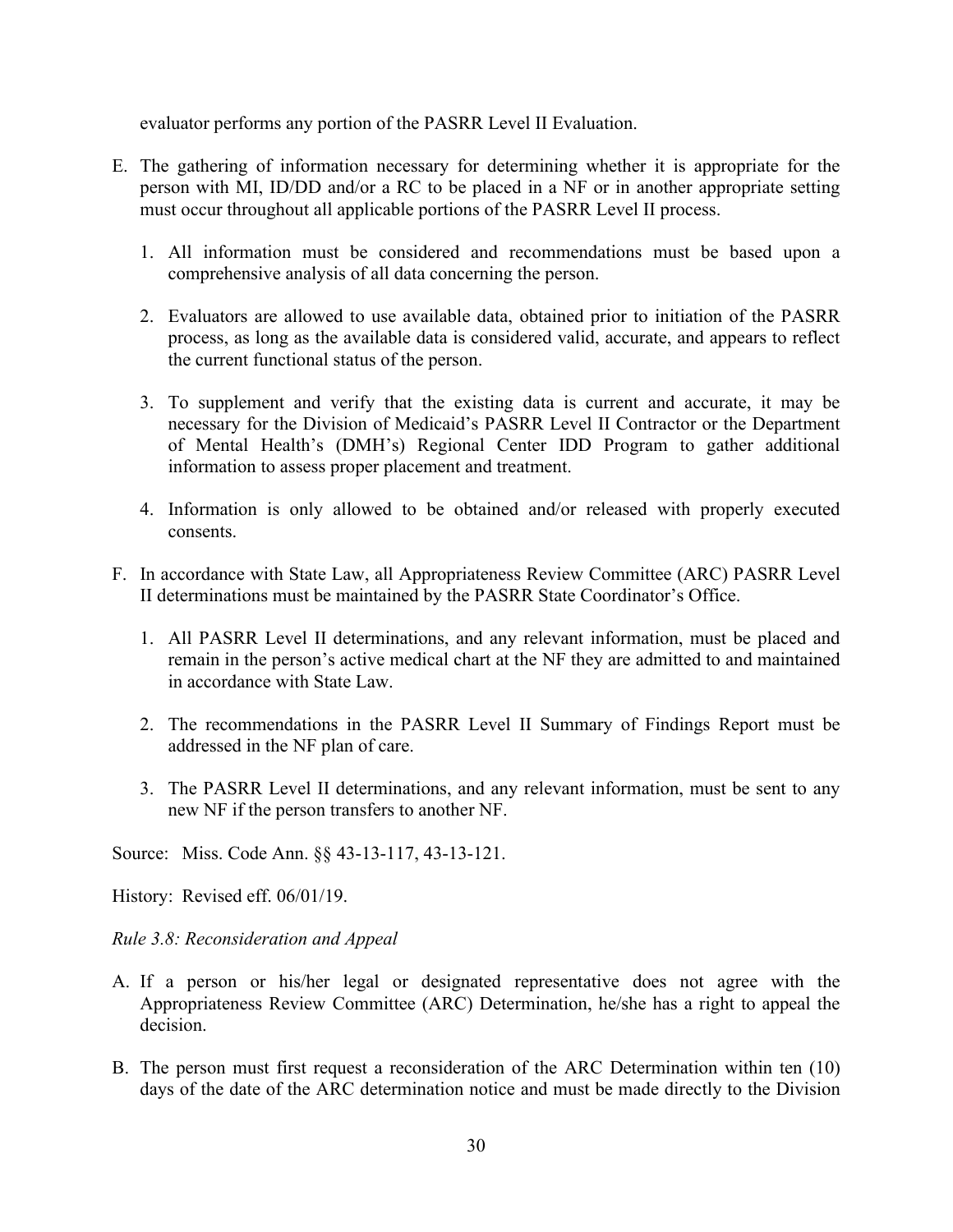evaluator performs any portion of the PASRR Level II Evaluation.

- E. The gathering of information necessary for determining whether it is appropriate for the person with MI, ID/DD and/or a RC to be placed in a NF or in another appropriate setting must occur throughout all applicable portions of the PASRR Level II process.
	- 1. All information must be considered and recommendations must be based upon a comprehensive analysis of all data concerning the person.
	- 2. Evaluators are allowed to use available data, obtained prior to initiation of the PASRR process, as long as the available data is considered valid, accurate, and appears to reflect the current functional status of the person.
	- 3. To supplement and verify that the existing data is current and accurate, it may be necessary for the Division of Medicaid's PASRR Level II Contractor or the Department of Mental Health's (DMH's) Regional Center IDD Program to gather additional information to assess proper placement and treatment.
	- 4. Information is only allowed to be obtained and/or released with properly executed consents.
- F. In accordance with State Law, all Appropriateness Review Committee (ARC) PASRR Level II determinations must be maintained by the PASRR State Coordinator's Office.
	- 1. All PASRR Level II determinations, and any relevant information, must be placed and remain in the person's active medical chart at the NF they are admitted to and maintained in accordance with State Law.
	- 2. The recommendations in the PASRR Level II Summary of Findings Report must be addressed in the NF plan of care.
	- 3. The PASRR Level II determinations, and any relevant information, must be sent to any new NF if the person transfers to another NF.

Source: Miss. Code Ann. §§ 43-13-117, 43-13-121.

History: Revised eff. 06/01/19.

<span id="page-31-0"></span>*Rule 3.8: Reconsideration and Appeal* 

- A. If a person or his/her legal or designated representative does not agree with the Appropriateness Review Committee (ARC) Determination, he/she has a right to appeal the decision.
- B. The person must first request a reconsideration of the ARC Determination within ten (10) days of the date of the ARC determination notice and must be made directly to the Division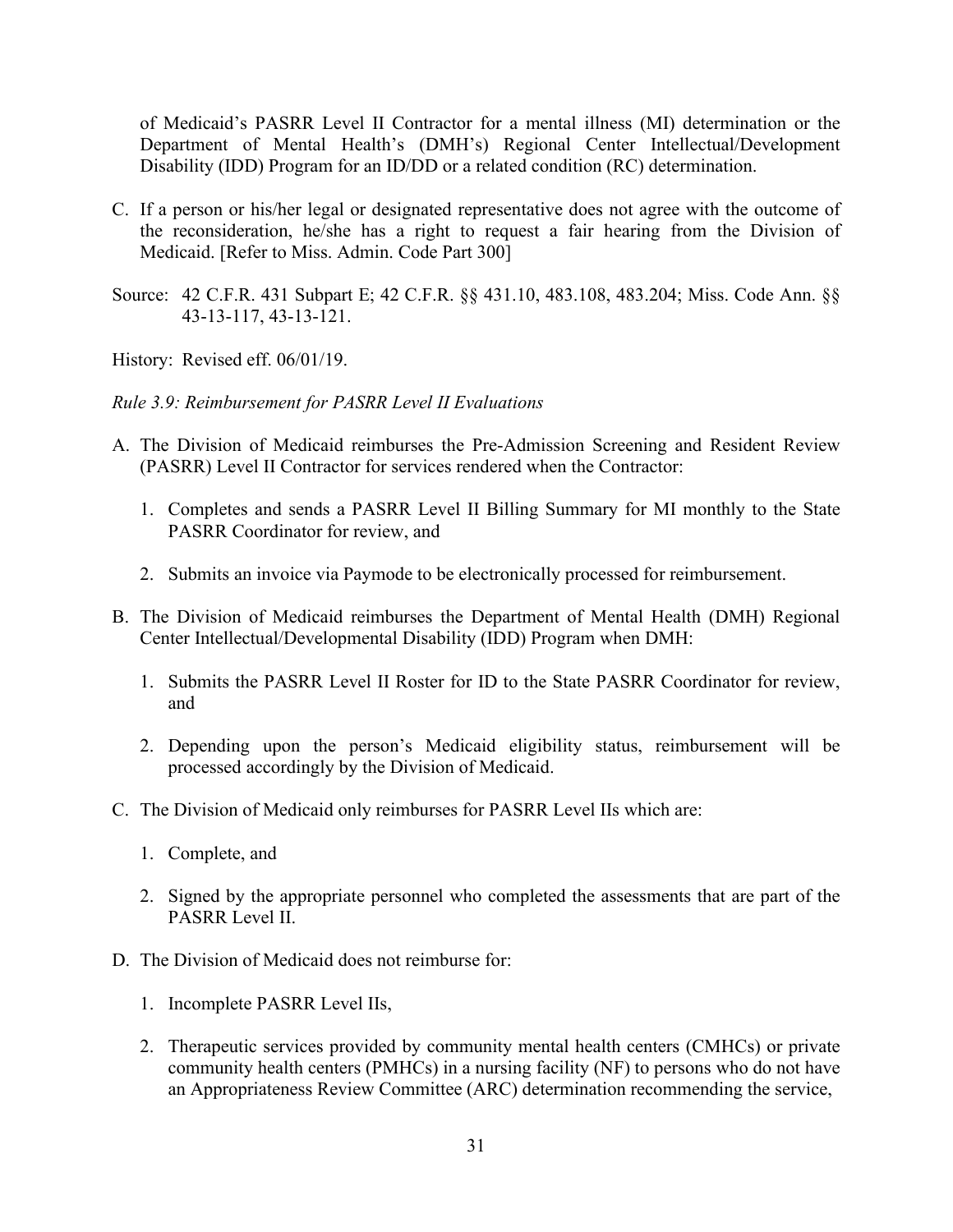of Medicaid's PASRR Level II Contractor for a mental illness (MI) determination or the Department of Mental Health's (DMH's) Regional Center Intellectual/Development Disability (IDD) Program for an ID/DD or a related condition (RC) determination.

- C. If a person or his/her legal or designated representative does not agree with the outcome of the reconsideration, he/she has a right to request a fair hearing from the Division of Medicaid. [Refer to Miss. Admin. Code Part 300]
- Source: 42 C.F.R. 431 Subpart E; 42 C.F.R. §§ 431.10, 483.108, 483.204; Miss. Code Ann. §§ 43-13-117, 43-13-121.

History: Revised eff. 06/01/19.

<span id="page-32-0"></span>*Rule 3.9: Reimbursement for PASRR Level II Evaluations*

- A. The Division of Medicaid reimburses the Pre-Admission Screening and Resident Review (PASRR) Level II Contractor for services rendered when the Contractor:
	- 1. Completes and sends a PASRR Level II Billing Summary for MI monthly to the State PASRR Coordinator for review, and
	- 2. Submits an invoice via Paymode to be electronically processed for reimbursement.
- B. The Division of Medicaid reimburses the Department of Mental Health (DMH) Regional Center Intellectual/Developmental Disability (IDD) Program when DMH:
	- 1. Submits the PASRR Level II Roster for ID to the State PASRR Coordinator for review, and
	- 2. Depending upon the person's Medicaid eligibility status, reimbursement will be processed accordingly by the Division of Medicaid.
- C. The Division of Medicaid only reimburses for PASRR Level IIs which are:
	- 1. Complete, and
	- 2. Signed by the appropriate personnel who completed the assessments that are part of the PASRR Level II.
- D. The Division of Medicaid does not reimburse for:
	- 1. Incomplete PASRR Level IIs,
	- 2. Therapeutic services provided by community mental health centers (CMHCs) or private community health centers (PMHCs) in a nursing facility (NF) to persons who do not have an Appropriateness Review Committee (ARC) determination recommending the service,